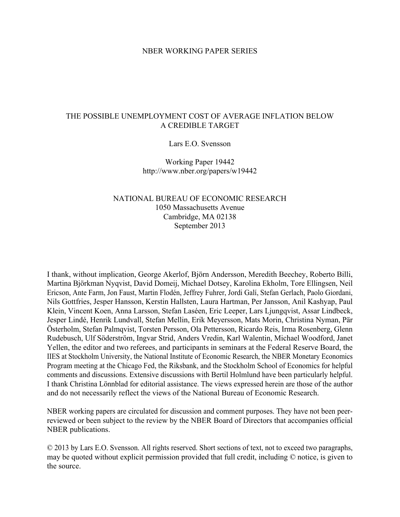#### NBER WORKING PAPER SERIES

## THE POSSIBLE UNEMPLOYMENT COST OF AVERAGE INFLATION BELOW A CREDIBLE TARGET

#### Lars E.O. Svensson

Working Paper 19442 http://www.nber.org/papers/w19442

## NATIONAL BUREAU OF ECONOMIC RESEARCH 1050 Massachusetts Avenue Cambridge, MA 02138 September 2013

I thank, without implication, George Akerlof, Björn Andersson, Meredith Beechey, Roberto Billi, Martina Björkman Nyqvist, David Domeij, Michael Dotsey, Karolina Ekholm, Tore Ellingsen, Neil Ericson, Ante Farm, Jon Faust, Martin Flodén, Jeffrey Fuhrer, Jordi Galí, Stefan Gerlach, Paolo Giordani, Nils Gottfries, Jesper Hansson, Kerstin Hallsten, Laura Hartman, Per Jansson, Anil Kashyap, Paul Klein, Vincent Koen, Anna Larsson, Stefan Laséen, Eric Leeper, Lars Ljungqvist, Assar Lindbeck, Jesper Lindé, Henrik Lundvall, Stefan Mellin, Erik Meyersson, Mats Morin, Christina Nyman, Pär Österholm, Stefan Palmqvist, Torsten Persson, Ola Pettersson, Ricardo Reis, Irma Rosenberg, Glenn Rudebusch, Ulf Söderström, Ingvar Strid, Anders Vredin, Karl Walentin, Michael Woodford, Janet Yellen, the editor and two referees, and participants in seminars at the Federal Reserve Board, the IIES at Stockholm University, the National Institute of Economic Research, the NBER Monetary Economics Program meeting at the Chicago Fed, the Riksbank, and the Stockholm School of Economics for helpful comments and discussions. Extensive discussions with Bertil Holmlund have been particularly helpful. I thank Christina Lönnblad for editorial assistance. The views expressed herein are those of the author and do not necessarily reflect the views of the National Bureau of Economic Research.

NBER working papers are circulated for discussion and comment purposes. They have not been peerreviewed or been subject to the review by the NBER Board of Directors that accompanies official NBER publications.

© 2013 by Lars E.O. Svensson. All rights reserved. Short sections of text, not to exceed two paragraphs, may be quoted without explicit permission provided that full credit, including © notice, is given to the source.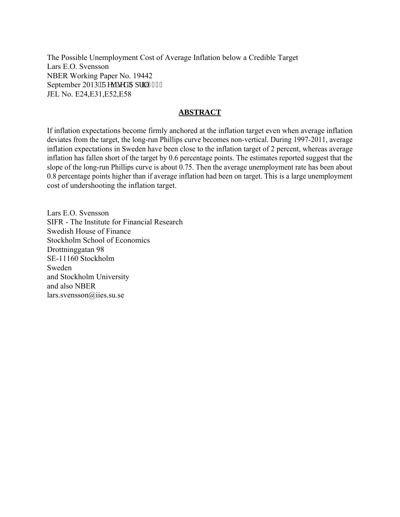The Possible Unemployment Cost of Average Inflation below a Credible Target Lars E.O. Svensson NBER Working Paper No. 19442 September 2013. 'Tgxkugf 'Crtkn'4236 JEL No. E24,E31,E52,E58

#### **ABSTRACT**

If inflation expectations become firmly anchored at the inflation target even when average inflation deviates from the target, the long-run Phillips curve becomes non-vertical. During 1997-2011, average inflation expectations in Sweden have been close to the inflation target of 2 percent, whereas average inflation has fallen short of the target by 0.6 percentage points. The estimates reported suggest that the slope of the long-run Phillips curve is about 0.75. Then the average unemployment rate has been about 0.8 percentage points higher than if average inflation had been on target. This is a large unemployment cost of undershooting the inflation target.

Lars E.O. Svensson SIFR - The Institute for Financial Research Swedish House of Finance Stockholm School of Economics Drottninggatan 98 SE-11160 Stockholm Sweden and Stockholm University and also NBER lars.svensson@iies.su.se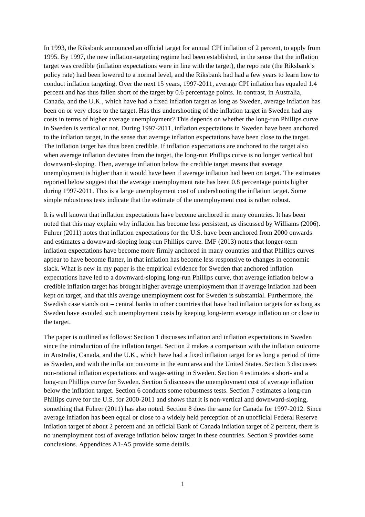In 1993, the Riksbank announced an official target for annual CPI inflation of 2 percent, to apply from 1995. By 1997, the new inflation-targeting regime had been established, in the sense that the inflation target was credible (inflation expectations were in line with the target), the repo rate (the Riksbank's policy rate) had been lowered to a normal level, and the Riksbank had had a few years to learn how to conduct inflation targeting. Over the next 15 years, 1997-2011, average CPI inflation has equaled 1.4 percent and has thus fallen short of the target by 0.6 percentage points. In contrast, in Australia, Canada, and the U.K., which have had a fixed inflation target as long as Sweden, average inflation has been on or very close to the target. Has this undershooting of the inflation target in Sweden had any costs in terms of higher average unemployment? This depends on whether the long-run Phillips curve in Sweden is vertical or not. During 1997-2011, inflation expectations in Sweden have been anchored to the inflation target, in the sense that average inflation expectations have been close to the target. The inflation target has thus been credible. If inflation expectations are anchored to the target also when average inflation deviates from the target, the long-run Phillips curve is no longer vertical but downward-sloping. Then, average inflation below the credible target means that average unemployment is higher than it would have been if average inflation had been on target. The estimates reported below suggest that the average unemployment rate has been 0.8 percentage points higher during 1997-2011. This is a large unemployment cost of undershooting the inflation target. Some simple robustness tests indicate that the estimate of the unemployment cost is rather robust.

It is well known that inflation expectations have become anchored in many countries. It has been noted that this may explain why inflation has become less persistent, as discussed by Williams (2006). Fuhrer (2011) notes that inflation expectations for the U.S. have been anchored from 2000 onwards and estimates a downward-sloping long-run Phillips curve. IMF (2013) notes that longer-term inflation expectations have become more firmly anchored in many countries and that Phillips curves appear to have become flatter, in that inflation has become less responsive to changes in economic slack. What is new in my paper is the empirical evidence for Sweden that anchored inflation expectations have led to a downward-sloping long-run Phillips curve, that average inflation below a credible inflation target has brought higher average unemployment than if average inflation had been kept on target, and that this average unemployment cost for Sweden is substantial. Furthermore, the Swedish case stands out – central banks in other countries that have had inflation targets for as long as Sweden have avoided such unemployment costs by keeping long-term average inflation on or close to the target.

The paper is outlined as follows: Section 1 discusses inflation and inflation expectations in Sweden since the introduction of the inflation target. Section 2 makes a comparison with the inflation outcome in Australia, Canada, and the U.K., which have had a fixed inflation target for as long a period of time as Sweden, and with the inflation outcome in the euro area and the United States. Section 3 discusses non-rational inflation expectations and wage-setting in Sweden. Section 4 estimates a short- and a long-run Phillips curve for Sweden. Section 5 discusses the unemployment cost of average inflation below the inflation target. Section 6 conducts some robustness tests. Section 7 estimates a long-run Phillips curve for the U.S. for 2000-2011 and shows that it is non-vertical and downward-sloping, something that Fuhrer (2011) has also noted. Section 8 does the same for Canada for 1997-2012. Since average inflation has been equal or close to a widely held perception of an unofficial Federal Reserve inflation target of about 2 percent and an official Bank of Canada inflation target of 2 percent, there is no unemployment cost of average inflation below target in these countries. Section 9 provides some conclusions. Appendices A1-A5 provide some details.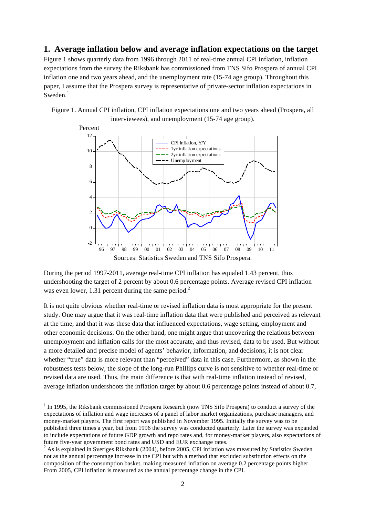### **1. Average inflation below and average inflation expectations on the target**

Figure 1 shows quarterly data from 1996 through 2011 of real-time annual CPI inflation, inflation expectations from the survey the Riksbank has commissioned from TNS Sifo Prospera of annual CPI inflation one and two years ahead, and the unemployment rate (15-74 age group). Throughout this paper, I assume that the Prospera survey is representative of private-sector inflation expectations in  $Sweden.<sup>1</sup>$ 

Figure 1. Annual CPI inflation, CPI inflation expectations one and two years ahead (Prospera, all interviewees), and unemployment (15-74 age group).



During the period 1997-2011, average real-time CPI inflation has equaled 1.43 percent, thus undershooting the target of 2 percent by about 0.6 percentage points. Average revised CPI inflation was even lower, 1.31 percent during the same period. $2^2$ 

It is not quite obvious whether real-time or revised inflation data is most appropriate for the present study. One may argue that it was real-time inflation data that were published and perceived as relevant at the time, and that it was these data that influenced expectations, wage setting, employment and other economic decisions. On the other hand, one might argue that uncovering the relations between unemployment and inflation calls for the most accurate, and thus revised, data to be used. But without a more detailed and precise model of agents' behavior, information, and decisions, it is not clear whether "true" data is more relevant than "perceived" data in this case. Furthermore, as shown in the robustness tests below, the slope of the long-run Phillips curve is not sensitive to whether real-time or revised data are used. Thus, the main difference is that with real-time inflation instead of revised, average inflation undershoots the inflation target by about 0.6 percentage points instead of about 0.7,

l

<sup>&</sup>lt;sup>1</sup> In 1995, the Riksbank commissioned Prospera Research (now TNS Sifo Prospera) to conduct a survey of the expectations of inflation and wage increases of a panel of labor market organizations, purchase managers, and money-market players. The first report was published in November 1995. Initially the survey was to be published three times a year, but from 1996 the survey was conducted quarterly. Later the survey was expanded to include expectations of future GDP growth and repo rates and, for money-market players, also expectations of future five-year government bond rates and USD and EUR exchange rates.<br><sup>2</sup> As is explained in Sveriges Riksbank (2004), before 2005, CPI inflation was measured by Statistics Sweden

not as the annual percentage increase in the CPI but with a method that excluded substitution effects on the composition of the consumption basket, making measured inflation on average 0.2 percentage points higher. From 2005, CPI inflation is measured as the annual percentage change in the CPI.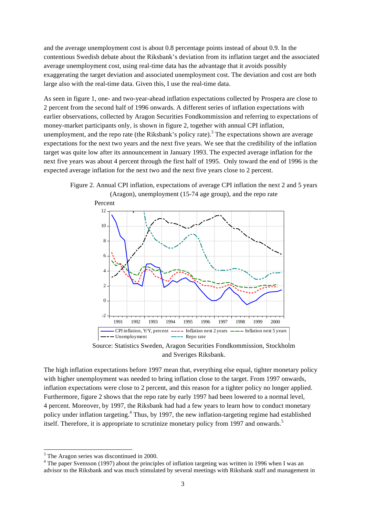and the average unemployment cost is about 0.8 percentage points instead of about 0.9. In the contentious Swedish debate about the Riksbank's deviation from its inflation target and the associated average unemployment cost, using real-time data has the advantage that it avoids possibly exaggerating the target deviation and associated unemployment cost. The deviation and cost are both large also with the real-time data. Given this, I use the real-time data.

As seen in figure 1, one- and two-year-ahead inflation expectations collected by Prospera are close to 2 percent from the second half of 1996 onwards. A different series of inflation expectations with earlier observations, collected by Aragon Securities Fondkommission and referring to expectations of money-market participants only, is shown in figure 2, together with annual CPI inflation, unemployment, and the repo rate (the Riksbank's policy rate).<sup>3</sup> The expectations shown are average expectations for the next two years and the next five years. We see that the credibility of the inflation target was quite low after its announcement in January 1993. The expected average inflation for the next five years was about 4 percent through the first half of 1995. Only toward the end of 1996 is the expected average inflation for the next two and the next five years close to 2 percent.







The high inflation expectations before 1997 mean that, everything else equal, tighter monetary policy with higher unemployment was needed to bring inflation close to the target. From 1997 onwards, inflation expectations were close to 2 percent, and this reason for a tighter policy no longer applied. Furthermore, figure 2 shows that the repo rate by early 1997 had been lowered to a normal level, 4 percent. Moreover, by 1997, the Riksbank had had a few years to learn how to conduct monetary policy under inflation targeting.<sup>4</sup> Thus, by 1997, the new inflation-targeting regime had established itself. Therefore, it is appropriate to scrutinize monetary policy from 1997 and onwards.<sup>5</sup>

 $\overline{a}$ 

 $3$  The Aragon series was discontinued in 2000.

<sup>&</sup>lt;sup>4</sup> The paper Svensson (1997) about the principles of inflation targeting was written in 1996 when I was an advisor to the Riksbank and was much stimulated by several meetings with Riksbank staff and management in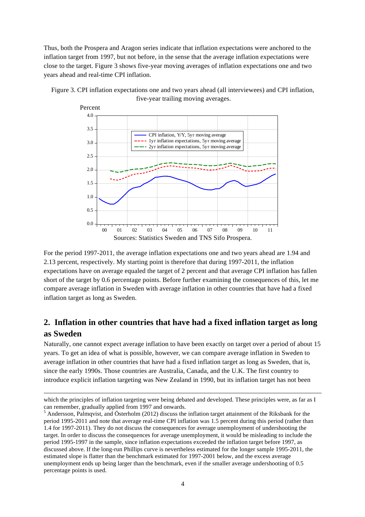Thus, both the Prospera and Aragon series indicate that inflation expectations were anchored to the inflation target from 1997, but not before, in the sense that the average inflation expectations were close to the target. Figure 3 shows five-year moving averages of inflation expectations one and two years ahead and real-time CPI inflation.





For the period 1997-2011, the average inflation expectations one and two years ahead are 1.94 and 2.13 percent, respectively. My starting point is therefore that during 1997-2011, the inflation expectations have on average equaled the target of 2 percent and that average CPI inflation has fallen short of the target by 0.6 percentage points. Before further examining the consequences of this, let me compare average inflation in Sweden with average inflation in other countries that have had a fixed inflation target as long as Sweden.

# **2. Inflation in other countries that have had a fixed inflation target as long as Sweden**

Naturally, one cannot expect average inflation to have been exactly on target over a period of about 15 years. To get an idea of what is possible, however, we can compare average inflation in Sweden to average inflation in other countries that have had a fixed inflation target as long as Sweden, that is, since the early 1990s. Those countries are Australia, Canada, and the U.K. The first country to introduce explicit inflation targeting was New Zealand in 1990, but its inflation target has not been

 $\overline{a}$ 

which the principles of inflation targeting were being debated and developed. These principles were, as far as I can remember, gradually applied from 1997 and onwards.

<sup>&</sup>lt;sup>5</sup> Andersson, Palmqvist, and Österholm (2012) discuss the inflation target attainment of the Riksbank for the period 1995-2011 and note that average real-time CPI inflation was 1.5 percent during this period (rather than 1.4 for 1997-2011). They do not discuss the consequences for average unemployment of undershooting the target. In order to discuss the consequences for average unemployment, it would be misleading to include the period 1995-1997 in the sample, since inflation expectations exceeded the inflation target before 1997, as discussed above. If the long-run Phillips curve is nevertheless estimated for the longer sample 1995-2011, the estimated slope is flatter than the benchmark estimated for 1997-2001 below, and the excess average unemployment ends up being larger than the benchmark, even if the smaller average undershooting of 0.5 percentage points is used.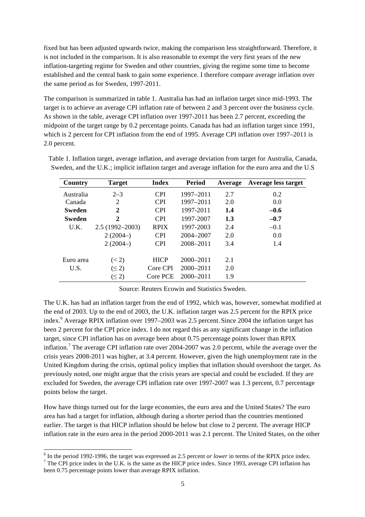fixed but has been adjusted upwards twice, making the comparison less straightforward. Therefore, it is not included in the comparison. It is also reasonable to exempt the very first years of the new inflation-targeting regime for Sweden and other countries, giving the regime some time to become established and the central bank to gain some experience. I therefore compare average inflation over the same period as for Sweden, 1997-2011.

The comparison is summarized in table 1. Australia has had an inflation target since mid-1993. The target is to achieve an average CPI inflation rate of between 2 and 3 percent over the business cycle. As shown in the table, average CPI inflation over 1997-2011 has been 2.7 percent, exceeding the midpoint of the target range by 0.2 percentage points. Canada has had an inflation target since 1991, which is 2 percent for CPI inflation from the end of 1995. Average CPI inflation over 1997–2011 is 2.0 percent.

| Country       | <b>Target</b>      | <b>Index</b> | Period        | Average | Average less target |
|---------------|--------------------|--------------|---------------|---------|---------------------|
| Australia     | $2 - 3$            | <b>CPI</b>   | 1997-2011     | 2.7     | 0.2                 |
| Canada        | 2                  | <b>CPI</b>   | 1997-2011     | 2.0     | 0.0                 |
| <b>Sweden</b> | $\mathbf 2$        | <b>CPI</b>   | 1997-2011     | 1.4     | $-0.6$              |
| <b>Sweden</b> | 2                  | <b>CPI</b>   | 1997-2007     | 1.3     | $-0.7$              |
| U.K.          | $2.5(1992 - 2003)$ | <b>RPIX</b>  | 1997-2003     | 2.4     | $-0.1$              |
|               | $2(2004-)$         | <b>CPI</b>   | 2004-2007     | 2.0     | 0.0                 |
|               | $2(2004-)$         | <b>CPI</b>   | 2008-2011     | 3.4     | 1.4                 |
|               |                    |              |               |         |                     |
| Euro area     | (< 2)              | <b>HICP</b>  | $2000 - 2011$ | 2.1     |                     |
| U.S.          | $(\leq 2)$         | Core CPI     | $2000 - 2011$ | 2.0     |                     |
|               | $(\leq 2)$         | Core PCE     | $2000 - 2011$ | 1.9     |                     |

Table 1. Inflation target, average inflation, and average deviation from target for Australia, Canada, Sweden, and the U.K.; implicit inflation target and average inflation for the euro area and the U.S

Source: Reuters Ecowin and Statistics Sweden.

The U.K. has had an inflation target from the end of 1992, which was, however, somewhat modified at the end of 2003. Up to the end of 2003, the U.K. inflation target was 2.5 percent for the RPIX price index.<sup>6</sup> Average RPIX inflation over 1997–2003 was 2.5 percent. Since 2004 the inflation target has been 2 percent for the CPI price index. I do not regard this as any significant change in the inflation target, since CPI inflation has on average been about 0.75 percentage points lower than RPIX inflation.<sup>7</sup> The average CPI inflation rate over 2004-2007 was 2.0 percent, while the average over the crisis years 2008-2011 was higher, at 3.4 percent. However, given the high unemployment rate in the United Kingdom during the crisis, optimal policy implies that inflation should overshoot the target. As previously noted, one might argue that the crisis years are special and could be excluded. If they are excluded for Sweden, the average CPI inflation rate over 1997-2007 was 1.3 percent, 0.7 percentage points below the target.

How have things turned out for the large economies, the euro area and the United States? The euro area has had a target for inflation, although during a shorter period than the countries mentioned earlier. The target is that HICP inflation should be below but close to 2 percent. The average HICP inflation rate in the euro area in the period 2000-2011 was 2.1 percent. The United States, on the other

 $<sup>6</sup>$  In the period 1992-1996, the target was expressed as 2.5 percent *or lower* in terms of the RPIX price index.</sup>  $7$  The CPI price index in the U.K. is the same as the HICP price index. Since 1993, average CPI inflation has

been 0.75 percentage points lower than average RPIX inflation.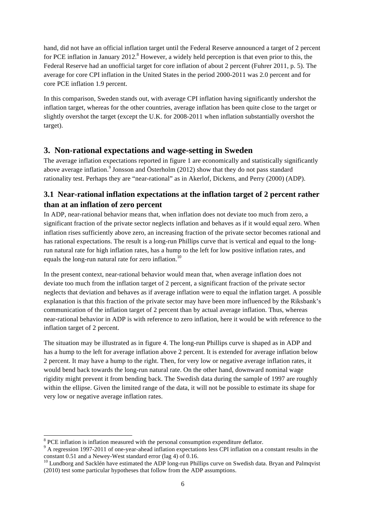hand, did not have an official inflation target until the Federal Reserve announced a target of 2 percent for PCE inflation in January 2012.<sup>8</sup> However, a widely held perception is that even prior to this, the Federal Reserve had an unofficial target for core inflation of about 2 percent (Fuhrer 2011, p. 5). The average for core CPI inflation in the United States in the period 2000-2011 was 2.0 percent and for core PCE inflation 1.9 percent.

In this comparison, Sweden stands out, with average CPI inflation having significantly undershot the inflation target, whereas for the other countries, average inflation has been quite close to the target or slightly overshot the target (except the U.K. for 2008-2011 when inflation substantially overshot the target).

# **3. Non-rational expectations and wage-setting in Sweden**

The average inflation expectations reported in figure 1 are economically and statistically significantly above average inflation.<sup>9</sup> Jonsson and Österholm (2012) show that they do not pass standard rationality test. Perhaps they are "near-rational" as in Akerlof, Dickens, and Perry (2000) (ADP).

# **3.1 Near-rational inflation expectations at the inflation target of 2 percent rather than at an inflation of zero percent**

In ADP, near-rational behavior means that, when inflation does not deviate too much from zero, a significant fraction of the private sector neglects inflation and behaves as if it would equal zero. When inflation rises sufficiently above zero, an increasing fraction of the private sector becomes rational and has rational expectations. The result is a long-run Phillips curve that is vertical and equal to the longrun natural rate for high inflation rates, has a hump to the left for low positive inflation rates, and equals the long-run natural rate for zero inflation.<sup>10</sup>

In the present context, near-rational behavior would mean that, when average inflation does not deviate too much from the inflation target of 2 percent, a significant fraction of the private sector neglects that deviation and behaves as if average inflation were to equal the inflation target. A possible explanation is that this fraction of the private sector may have been more influenced by the Riksbank's communication of the inflation target of 2 percent than by actual average inflation. Thus, whereas near-rational behavior in ADP is with reference to zero inflation, here it would be with reference to the inflation target of 2 percent.

The situation may be illustrated as in figure 4. The long-run Phillips curve is shaped as in ADP and has a hump to the left for average inflation above 2 percent. It is extended for average inflation below 2 percent. It may have a hump to the right. Then, for very low or negative average inflation rates, it would bend back towards the long-run natural rate. On the other hand, downward nominal wage rigidity might prevent it from bending back. The Swedish data during the sample of 1997 are roughly within the ellipse. Given the limited range of the data, it will not be possible to estimate its shape for very low or negative average inflation rates.

l

<sup>&</sup>lt;sup>8</sup> PCE inflation is inflation measured with the personal consumption expenditure deflator.<br><sup>9</sup> A regression 1997-2011 of one-year-ahead inflation expectations less CPI inflation on a constant results in the constant 0.51

 $^{10}$  Lundborg and Sacklén have estimated the ADP long-run Phillips curve on Swedish data. Bryan and Palmqvist (2010) test some particular hypotheses that follow from the ADP assumptions.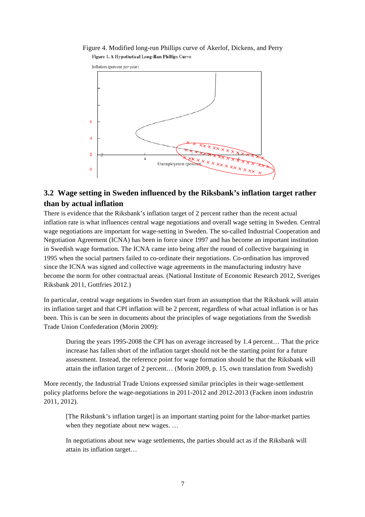Figure 4. Modified long-run Phillips curve of Akerlof, Dickens, and Perry Figure 1. A Hypothetical Long-Run Phillips Curve



# **3.2 Wage setting in Sweden influenced by the Riksbank's inflation target rather than by actual inflation**

There is evidence that the Riksbank's inflation target of 2 percent rather than the recent actual inflation rate is what influences central wage negotiations and overall wage setting in Sweden. Central wage negotiations are important for wage-setting in Sweden. The so-called Industrial Cooperation and Negotiation Agreement (ICNA) has been in force since 1997 and has become an important institution in Swedish wage formation. The ICNA came into being after the round of collective bargaining in 1995 when the social partners failed to co-ordinate their negotiations. Co-ordination has improved since the ICNA was signed and collective wage agreements in the manufacturing industry have become the norm for other contractual areas. (National Institute of Economic Research 2012, Sveriges Riksbank 2011, Gottfries 2012.)

In particular, central wage negations in Sweden start from an assumption that the Riksbank will attain its inflation target and that CPI inflation will be 2 percent, regardless of what actual inflation is or has been. This is can be seen in documents about the principles of wage negotiations from the Swedish Trade Union Confederation (Morin 2009):

During the years 1995-2008 the CPI has on average increased by 1.4 percent… That the price increase has fallen short of the inflation target should not be the starting point for a future assessment. Instead, the reference point for wage formation should be that the Riksbank will attain the inflation target of 2 percent… (Morin 2009, p. 15, own translation from Swedish)

More recently, the Industrial Trade Unions expressed similar principles in their wage-settlement policy platforms before the wage-negotiations in 2011-2012 and 2012-2013 (Facken inom industrin 2011, 2012).

[The Riksbank's inflation target] is an important starting point for the labor-market parties when they negotiate about new wages. ...

In negotiations about new wage settlements, the parties should act as if the Riksbank will attain its inflation target…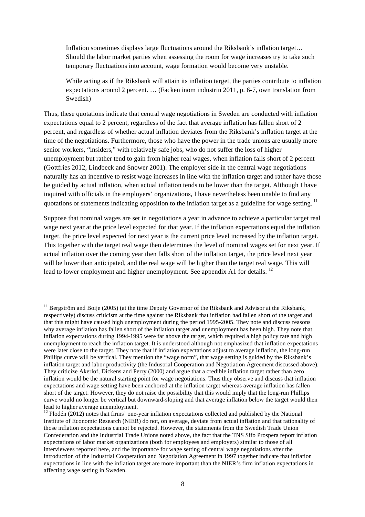Inflation sometimes displays large fluctuations around the Riksbank's inflation target… Should the labor market parties when assessing the room for wage increases try to take such temporary fluctuations into account, wage formation would become very unstable.

While acting as if the Riksbank will attain its inflation target, the parties contribute to inflation expectations around 2 percent. … (Facken inom industrin 2011, p. 6-7, own translation from Swedish)

Thus, these quotations indicate that central wage negotiations in Sweden are conducted with inflation expectations equal to 2 percent, regardless of the fact that average inflation has fallen short of 2 percent, and regardless of whether actual inflation deviates from the Riksbank's inflation target at the time of the negotiations. Furthermore, those who have the power in the trade unions are usually more senior workers, "insiders," with relatively safe jobs, who do not suffer the loss of higher unemployment but rather tend to gain from higher real wages, when inflation falls short of 2 percent (Gottfries 2012, Lindbeck and Snower 2001). The employer side in the central wage negotiations naturally has an incentive to resist wage increases in line with the inflation target and rather have those be guided by actual inflation, when actual inflation tends to be lower than the target. Although I have inquired with officials in the employers' organizations, I have nevertheless been unable to find any quotations or statements indicating opposition to the inflation target as a guideline for wage setting.<sup>11</sup>

Suppose that nominal wages are set in negotiations a year in advance to achieve a particular target real wage next year at the price level expected for that year. If the inflation expectations equal the inflation target, the price level expected for next year is the current price level increased by the inflation target. This together with the target real wage then determines the level of nominal wages set for next year. If actual inflation over the coming year then falls short of the inflation target, the price level next year will be lower than anticipated, and the real wage will be higher than the target real wage. This will lead to lower employment and higher unemployment. See appendix A1 for details.<sup>12</sup>

 $\overline{a}$ 

 $11$  Bergström and Boije (2005) (at the time Deputy Governor of the Riksbank and Advisor at the Riksbank, respectively) discuss criticism at the time against the Riksbank that inflation had fallen short of the target and that this might have caused high unemployment during the period 1995-2005. They note and discuss reasons why average inflation has fallen short of the inflation target and unemployment has been high. They note that inflation expectations during 1994-1995 were far above the target, which required a high policy rate and high unemployment to reach the inflation target. It is understood although not emphasized that inflation expectations were later close to the target. They note that if inflation expectations adjust to average inflation, the long-run Phillips curve will be vertical. They mention the "wage norm", that wage setting is guided by the Riksbank's inflation target and labor productivity (the Industrial Cooperation and Negotiation Agreement discussed above). They criticize Akerlof, Dickens and Perry (2000) and argue that a credible inflation target rather than zero inflation would be the natural starting point for wage negotiations. Thus they observe and discuss that inflation expectations and wage setting have been anchored at the inflation target whereas average inflation has fallen short of the target. However, they do not raise the possibility that this would imply that the long-run Phillips curve would no longer be vertical but downward-sloping and that average inflation below the target would then lead to higher average unemployment.

 $12$  Flodén (2012) notes that firms' one-year inflation expectations collected and published by the National Institute of Economic Research (NIER) do not, on average, deviate from actual inflation and that rationality of those inflation expectations cannot be rejected. However, the statements from the Swedish Trade Union Confederation and the Industrial Trade Unions noted above, the fact that the TNS Sifo Prospera report inflation expectations of labor market organizations (both for employees and employers) similar to those of all interviewees reported here, and the importance for wage setting of central wage negotiations after the introduction of the Industrial Cooperation and Negotiation Agreement in 1997 together indicate that inflation expectations in line with the inflation target are more important than the NIER's firm inflation expectations in affecting wage setting in Sweden.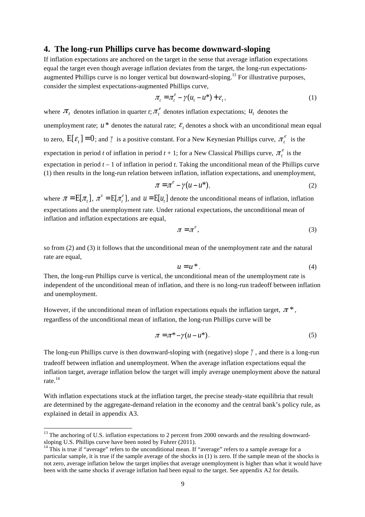#### **4. The long-run Phillips curve has become downward-sloping**

If inflation expectations are anchored on the target in the sense that average inflation expectations equal the target even though average inflation deviates from the target, the long-run expectationsaugmented Phillips curve is no longer vertical but downward-sloping.<sup>13</sup> For illustrative purposes, consider the simplest expectations-augmented Phillips curve,

$$
\pi_t = \pi_t^e - \gamma (u_t - u^*) + \varepsilon_t, \qquad (1)
$$

where  $\pi_t$  denotes inflation in quarter *t*;  $\pi_t^e$  denotes inflation expectations;  $u_t$  denotes the unemployment rate;  $u^*$  denotes the natural rate;  $\varepsilon$ , denotes a shock with an unconditional mean equal to zero,  $E[\varepsilon] = 0$ ; and  $\gamma$  is a positive constant. For a New Keynesian Phillips curve,  $\pi_i^e$  is the expectation in period *t* of inflation in period  $t + 1$ ; for a New Classical Phillips curve,  $\pi_t^e$  is the expectation in period *t* – 1 of inflation in period *t*. Taking the unconditional mean of the Phillips curve (1) then results in the long-run relation between inflation, inflation expectations, and unemployment,

$$
\pi = \pi^e - \gamma (u - u^*),\tag{2}
$$

where  $\pi = E[\pi]$ ,  $\pi^e = E[\pi^e]$ , and  $u = E[u]$  denote the unconditional means of inflation, inflation expectations and the unemployment rate. Under rational expectations, the unconditional mean of inflation and inflation expectations are equal,

$$
\pi = \pi^e,\tag{3}
$$

so from (2) and (3) it follows that the unconditional mean of the unemployment rate and the natural rate are equal,

$$
u = u^* \tag{4}
$$

Then, the long-run Phillips curve is vertical, the unconditional mean of the unemployment rate is independent of the unconditional mean of inflation, and there is no long-run tradeoff between inflation and unemployment.

However, if the unconditional mean of inflation expectations equals the inflation target,  $\pi^*$ , regardless of the unconditional mean of inflation, the long-run Phillips curve will be

$$
\pi = \pi^* - \gamma (u - u^*). \tag{5}
$$

The long-run Phillips curve is then downward-sloping with (negative) slope γ , and there is a long-run tradeoff between inflation and unemployment. When the average inflation expectations equal the inflation target, average inflation below the target will imply average unemployment above the natural rate.<sup>14</sup>

With inflation expectations stuck at the inflation target, the precise steady-state equilibria that result are determined by the aggregate-demand relation in the economy and the central bank's policy rule, as explained in detail in appendix A3.

l

 $13$  The anchoring of U.S. inflation expectations to 2 percent from 2000 onwards and the resulting downwardsloping U.S. Phillips curve have been noted by Fuhrer (2011).<br><sup>14</sup> This is true if "average" refers to the unconditional mean. If "average" refers to a sample average for a

particular sample, it is true if the sample average of the shocks in (1) is zero. If the sample mean of the shocks is not zero, average inflation below the target implies that average unemployment is higher than what it would have been with the same shocks if average inflation had been equal to the target. See appendix A2 for details.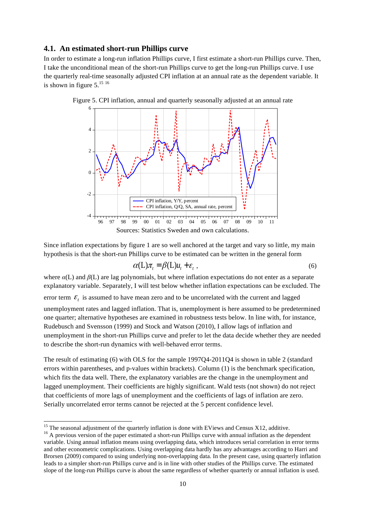#### **4.1. An estimated short-run Phillips curve**

In order to estimate a long-run inflation Phillips curve, I first estimate a short-run Phillips curve. Then, I take the unconditional mean of the short-run Phillips curve to get the long-run Phillips curve. I use the quarterly real-time seasonally adjusted CPI inflation at an annual rate as the dependent variable. It is shown in figure  $5.^{15}$   $16$ 



Figure 5. CPI inflation, annual and quarterly seasonally adjusted at an annual rate

Since inflation expectations by figure 1 are so well anchored at the target and vary so little, my main hypothesis is that the short-run Phillips curve to be estimated can be written in the general form

$$
\alpha(L)\pi_t = \beta(L)u_t + \varepsilon_t \t\t(6)
$$

where *α*(L) and *β*(L) are lag polynomials, but where inflation expectations do not enter as a separate explanatory variable. Separately, I will test below whether inflation expectations can be excluded. The error term  $\mathcal{E}_t$  is assumed to have mean zero and to be uncorrelated with the current and lagged unemployment rates and lagged inflation. That is, unemployment is here assumed to be predetermined one quarter; alternative hypotheses are examined in robustness tests below. In line with, for instance, Rudebusch and Svensson (1999) and Stock and Watson (2010), I allow lags of inflation and unemployment in the short-run Phillips curve and prefer to let the data decide whether they are needed to describe the short-run dynamics with well-behaved error terms.

The result of estimating (6) with OLS for the sample 1997Q4-2011Q4 is shown in table 2 (standard errors within parentheses, and p-values within brackets). Column (1) is the benchmark specification, which fits the data well. There, the explanatory variables are the change in the unemployment and lagged unemployment. Their coefficients are highly significant. Wald tests (not shown) do not reject that coefficients of more lags of unemployment and the coefficients of lags of inflation are zero. Serially uncorrelated error terms cannot be rejected at the 5 percent confidence level.

 $15$  The seasonal adjustment of the quarterly inflation is done with EViews and Census X12, additive.

 $16$  A previous version of the paper estimated a short-run Phillips curve with annual inflation as the dependent variable. Using annual inflation means using overlapping data, which introduces serial correlation in error terms and other econometric complications. Using overlapping data hardly has any advantages according to Harri and Brorsen (2009) compared to using underlying non-overlapping data. In the present case, using quarterly inflation leads to a simpler short-run Phillips curve and is in line with other studies of the Phillips curve. The estimated slope of the long-run Phillips curve is about the same regardless of whether quarterly or annual inflation is used.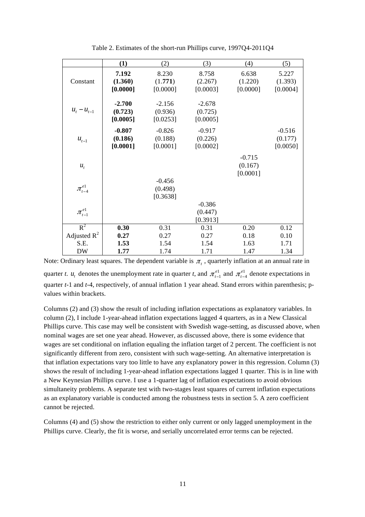|                      | (1)      | (2)      | (3)      | (4)      | (5)      |
|----------------------|----------|----------|----------|----------|----------|
|                      | 7.192    | 8.230    | 8.758    | 6.638    | 5.227    |
| Constant             | (1.360)  | (1.771)  | (2.267)  | (1.220)  | (1.393)  |
|                      | [0.0000] | [0.0000] | [0.0003] | [0.0000] | [0.0004] |
|                      | $-2.700$ | $-2.156$ | $-2.678$ |          |          |
| $u_t - u_{t-1}$      | (0.723)  | (0.936)  | (0.725)  |          |          |
|                      | [0.0005] | [0.0253] | [0.0005] |          |          |
|                      | $-0.807$ | $-0.826$ | $-0.917$ |          | $-0.516$ |
| $u_{t-1}$            | (0.186)  | (0.188)  | (0.226)  |          | (0.177)  |
|                      | [0.0001] | [0.0001] | [0.0002] |          | [0.0050] |
|                      |          |          |          | $-0.715$ |          |
| $u_t$                |          |          |          | (0.167)  |          |
|                      |          |          |          | [0.0001] |          |
|                      |          | $-0.456$ |          |          |          |
| $\pi_{\iota-4}^{e1}$ |          | (0.498)  |          |          |          |
|                      |          | [0.3638] |          |          |          |
| $\pi_{\iota-1}^{e1}$ |          |          | $-0.386$ |          |          |
|                      |          |          | (0.447)  |          |          |
|                      |          |          | [0.3913] |          |          |
| $R^2$                | 0.30     | 0.31     | 0.31     | 0.20     | 0.12     |
| Adjusted $R^2$       | 0.27     | 0.27     | 0.27     | 0.18     | 0.10     |
| S.E.                 | 1.53     | 1.54     | 1.54     | 1.63     | 1.71     |
| DW                   | 1.77     | 1.74     | 1.71     | 1.47     | 1.34     |

Table 2. Estimates of the short-run Phillips curve, 1997Q4-2011Q4

Note: Ordinary least squares. The dependent variable is  $\pi_t$ , quarterly inflation at an annual rate in quarter *t*.  $u_t$  denotes the unemployment rate in quarter *t*, and  $\pi_{t-1}^{e_1}$  and  $\pi_{t-4}^{e_1}$  denote expectations in quarter *t*-1 and *t*-4, respectively, of annual inflation 1 year ahead. Stand errors within parenthesis; pvalues within brackets.

Columns (2) and (3) show the result of including inflation expectations as explanatory variables. In column (2), I include 1-year-ahead inflation expectations lagged 4 quarters, as in a New Classical Phillips curve. This case may well be consistent with Swedish wage-setting, as discussed above, when nominal wages are set one year ahead. However, as discussed above, there is some evidence that wages are set conditional on inflation equaling the inflation target of 2 percent. The coefficient is not significantly different from zero, consistent with such wage-setting. An alternative interpretation is that inflation expectations vary too little to have any explanatory power in this regression. Column (3) shows the result of including 1-year-ahead inflation expectations lagged 1 quarter. This is in line with a New Keynesian Phillips curve. I use a 1-quarter lag of inflation expectations to avoid obvious simultaneity problems. A separate test with two-stages least squares of current inflation expectations as an explanatory variable is conducted among the robustness tests in section 5. A zero coefficient cannot be rejected.

Columns (4) and (5) show the restriction to either only current or only lagged unemployment in the Phillips curve. Clearly, the fit is worse, and serially uncorrelated error terms can be rejected.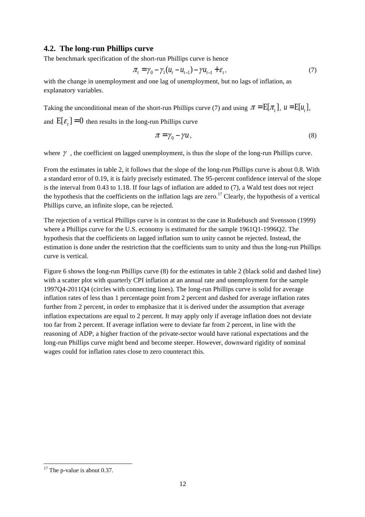## **4.2. The long-run Phillips curve**

The benchmark specification of the short-run Phillips curve is hence

$$
\pi_t = \gamma_0 - \gamma_1 (u_t - u_{t-1}) - \gamma u_{t-1} + \varepsilon_t, \tag{7}
$$

with the change in unemployment and one lag of unemployment, but no lags of inflation, as explanatory variables.

Taking the unconditional mean of the short-run Phillips curve (7) and using  $\pi = E[\pi_t]$ ,  $u = E[u_t]$ ,

and  $E[\varepsilon_t] = 0$  then results in the long-run Phillips curve

$$
\pi = \gamma_0 - \gamma u \,, \tag{8}
$$

where  $\gamma$ , the coefficient on lagged unemployment, is thus the slope of the long-run Phillips curve.

From the estimates in table 2, it follows that the slope of the long-run Phillips curve is about 0.8. With a standard error of 0.19, it is fairly precisely estimated. The 95-percent confidence interval of the slope is the interval from 0.43 to 1.18. If four lags of inflation are added to (7), a Wald test does not reject the hypothesis that the coefficients on the inflation lags are zero.<sup>17</sup> Clearly, the hypothesis of a vertical Phillips curve, an infinite slope, can be rejected.

The rejection of a vertical Phillips curve is in contrast to the case in Rudebusch and Svensson (1999) where a Phillips curve for the U.S. economy is estimated for the sample 1961Q1-1996Q2. The hypothesis that the coefficients on lagged inflation sum to unity cannot be rejected. Instead, the estimation is done under the restriction that the coefficients sum to unity and thus the long-run Phillips curve is vertical.

Figure 6 shows the long-run Phillips curve (8) for the estimates in table 2 (black solid and dashed line) with a scatter plot with quarterly CPI inflation at an annual rate and unemployment for the sample 1997Q4-2011Q4 (circles with connecting lines). The long-run Phillips curve is solid for average inflation rates of less than 1 percentage point from 2 percent and dashed for average inflation rates further from 2 percent, in order to emphasize that it is derived under the assumption that average inflation expectations are equal to 2 percent. It may apply only if average inflation does not deviate too far from 2 percent. If average inflation were to deviate far from 2 percent, in line with the reasoning of ADP, a higher fraction of the private-sector would have rational expectations and the long-run Phillips curve might bend and become steeper. However, downward rigidity of nominal wages could for inflation rates close to zero counteract this.

l  $17$  The p-value is about 0.37.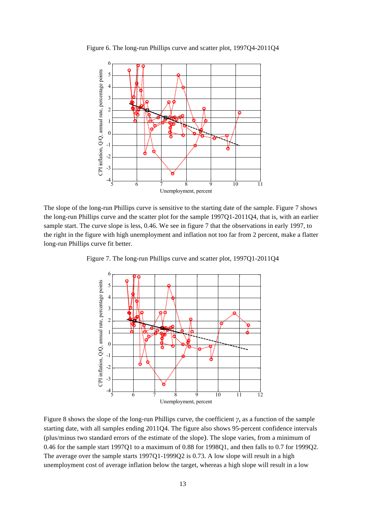

Figure 6. The long-run Phillips curve and scatter plot, 1997Q4-2011Q4

The slope of the long-run Phillips curve is sensitive to the starting date of the sample. Figure 7 shows the long-run Phillips curve and the scatter plot for the sample 1997Q1-2011Q4, that is, with an earlier sample start. The curve slope is less, 0.46. We see in figure 7 that the observations in early 1997, to the right in the figure with high unemployment and inflation not too far from 2 percent, make a flatter long-run Phillips curve fit better.

6 CPI inflation, Q/Q, annual rate, percentage points CPI inflation, Q/Q, annual rate, percentage points5 4 3  $\circ$ ര 2 Ó 1 ര 0 -1 ő ۊ Ò -2 -3  $-4\frac{1}{5}$ 5 6 7 8 9 10 11 12 Unemployment, percent

Figure 7. The long-run Phillips curve and scatter plot, 1997Q1-2011Q4

Figure 8 shows the slope of the long-run Phillips curve, the coefficient *γ*, as a function of the sample starting date, with all samples ending 2011Q4. The figure also shows 95-percent confidence intervals (plus/minus two standard errors of the estimate of the slope). The slope varies, from a minimum of 0.46 for the sample start 1997Q1 to a maximum of 0.88 for 1998Q1, and then falls to 0.7 for 1999Q2. The average over the sample starts 1997Q1-1999Q2 is 0.73. A low slope will result in a high unemployment cost of average inflation below the target, whereas a high slope will result in a low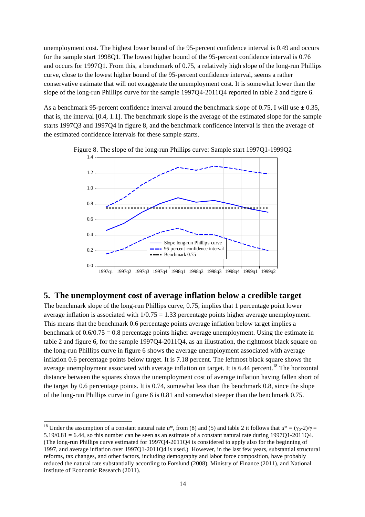unemployment cost. The highest lower bound of the 95-percent confidence interval is 0.49 and occurs for the sample start 1998Q1. The lowest higher bound of the 95-percent confidence interval is 0.76 and occurs for 1997Q1. From this, a benchmark of 0.75, a relatively high slope of the long-run Phillips curve, close to the lowest higher bound of the 95-percent confidence interval, seems a rather conservative estimate that will not exaggerate the unemployment cost. It is somewhat lower than the slope of the long-run Phillips curve for the sample 1997Q4-2011Q4 reported in table 2 and figure 6.

As a benchmark 95-percent confidence interval around the benchmark slope of 0.75, I will use  $\pm$  0.35, that is, the interval [0.4, 1.1]. The benchmark slope is the average of the estimated slope for the sample starts 1997Q3 and 1997Q4 in figure 8, and the benchmark confidence interval is then the average of the estimated confidence intervals for these sample starts.



Figure 8. The slope of the long-run Phillips curve: Sample start 1997Q1-1999Q2

### **5. The unemployment cost of average inflation below a credible target**

The benchmark slope of the long-run Phillips curve, 0.75, implies that 1 percentage point lower average inflation is associated with  $1/0.75 = 1.33$  percentage points higher average unemployment. This means that the benchmark 0.6 percentage points average inflation below target implies a benchmark of  $0.6/0.75 = 0.8$  percentage points higher average unemployment. Using the estimate in table 2 and figure 6, for the sample 1997Q4-2011Q4, as an illustration, the rightmost black square on the long-run Phillips curve in figure 6 shows the average unemployment associated with average inflation 0.6 percentage points below target. It is 7.18 percent. The leftmost black square shows the average unemployment associated with average inflation on target. It is 6.44 percent.<sup>18</sup> The horizontal distance between the squares shows the unemployment cost of average inflation having fallen short of the target by 0.6 percentage points. It is 0.74, somewhat less than the benchmark 0.8, since the slope of the long-run Phillips curve in figure 6 is 0.81 and somewhat steeper than the benchmark 0.75.

 $\overline{a}$ 

<sup>&</sup>lt;sup>18</sup> Under the assumption of a constant natural rate  $u^*$ , from (8) and (5) and table 2 it follows that  $u^* = (\gamma_0 - 2)/\gamma =$  $5.19/0.81 = 6.44$ , so this number can be seen as an estimate of a constant natural rate during 1997Q1-2011Q4. (The long-run Phillips curve estimated for 1997Q4-2011Q4 is considered to apply also for the beginning of 1997, and average inflation over 1997Q1-2011Q4 is used.) However, in the last few years, substantial structural reforms, tax changes, and other factors, including demography and labor force composition, have probably reduced the natural rate substantially according to Forslund (2008), Ministry of Finance (2011), and National Institute of Economic Research (2011).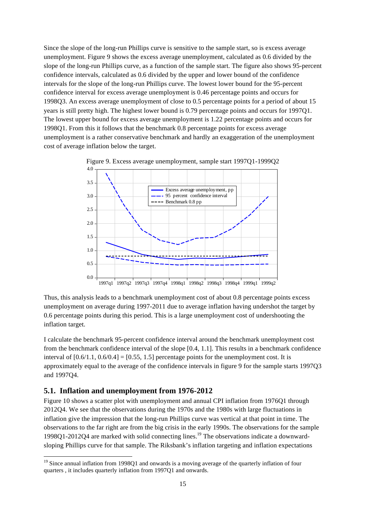Since the slope of the long-run Phillips curve is sensitive to the sample start, so is excess average unemployment. Figure 9 shows the excess average unemployment, calculated as 0.6 divided by the slope of the long-run Phillips curve, as a function of the sample start. The figure also shows 95-percent confidence intervals, calculated as 0.6 divided by the upper and lower bound of the confidence intervals for the slope of the long-run Phillips curve. The lowest lower bound for the 95-percent confidence interval for excess average unemployment is 0.46 percentage points and occurs for 1998Q3. An excess average unemployment of close to 0.5 percentage points for a period of about 15 years is still pretty high. The highest lower bound is 0.79 percentage points and occurs for 1997Q1. The lowest upper bound for excess average unemployment is 1.22 percentage points and occurs for 1998Q1. From this it follows that the benchmark 0.8 percentage points for excess average unemployment is a rather conservative benchmark and hardly an exaggeration of the unemployment cost of average inflation below the target.



Figure 9. Excess average unemployment, sample start 1997Q1-1999Q2

Thus, this analysis leads to a benchmark unemployment cost of about 0.8 percentage points excess unemployment on average during 1997-2011 due to average inflation having undershot the target by 0.6 percentage points during this period. This is a large unemployment cost of undershooting the inflation target.

I calculate the benchmark 95-percent confidence interval around the benchmark unemployment cost from the benchmark confidence interval of the slope [0.4, 1.1]. This results in a benchmark confidence interval of  $[0.6/1.1, 0.6/0.4] = [0.55, 1.5]$  percentage points for the unemployment cost. It is approximately equal to the average of the confidence intervals in figure 9 for the sample starts 1997Q3 and 1997Q4.

## **5.1. Inflation and unemployment from 1976-2012**

 $\overline{a}$ 

Figure 10 shows a scatter plot with unemployment and annual CPI inflation from 1976Q1 through 2012Q4. We see that the observations during the 1970s and the 1980s with large fluctuations in inflation give the impression that the long-run Phillips curve was vertical at that point in time. The observations to the far right are from the big crisis in the early 1990s. The observations for the sample 1998Q1-2012Q4 are marked with solid connecting lines.<sup>19</sup> The observations indicate a downwardsloping Phillips curve for that sample. The Riksbank's inflation targeting and inflation expectations

<sup>&</sup>lt;sup>19</sup> Since annual inflation from 1998Q1 and onwards is a moving average of the quarterly inflation of four quarters , it includes quarterly inflation from 1997Q1 and onwards.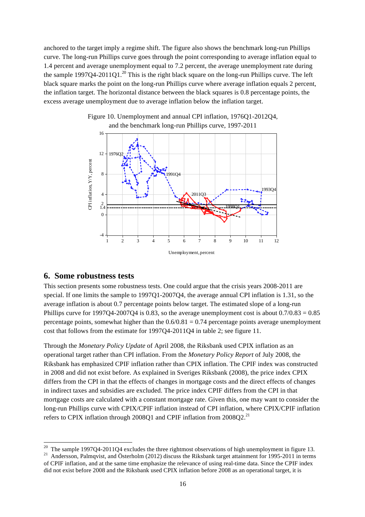anchored to the target imply a regime shift. The figure also shows the benchmark long-run Phillips curve. The long-run Phillips curve goes through the point corresponding to average inflation equal to 1.4 percent and average unemployment equal to 7.2 percent, the average unemployment rate during the sample 1997Q4-2011Q1.<sup>20</sup> This is the right black square on the long-run Phillips curve. The left black square marks the point on the long-run Phillips curve where average inflation equals 2 percent, the inflation target. The horizontal distance between the black squares is 0.8 percentage points, the excess average unemployment due to average inflation below the inflation target.



Figure 10. Unemployment and annual CPI inflation, 1976Q1-2012Q4,

### **6. Some robustness tests**

This section presents some robustness tests. One could argue that the crisis years 2008-2011 are special. If one limits the sample to 1997Q1-2007Q4, the average annual CPI inflation is 1.31, so the average inflation is about 0.7 percentage points below target. The estimated slope of a long-run Phillips curve for 1997Q4-2007Q4 is 0.83, so the average unemployment cost is about  $0.7/0.83 = 0.85$ percentage points, somewhat higher than the  $0.6/0.81 = 0.74$  percentage points average unemployment cost that follows from the estimate for 1997Q4-2011Q4 in table 2; see figure 11.

Through the *Monetary Policy Update* of April 2008, the Riksbank used CPIX inflation as an operational target rather than CPI inflation. From the *Monetary Policy Report* of July 2008, the Riksbank has emphasized CPIF inflation rather than CPIX inflation. The CPIF index was constructed in 2008 and did not exist before. As explained in Sveriges Riksbank (2008), the price index CPIX differs from the CPI in that the effects of changes in mortgage costs and the direct effects of changes in indirect taxes and subsidies are excluded. The price index CPIF differs from the CPI in that mortgage costs are calculated with a constant mortgage rate. Given this, one may want to consider the long-run Phillips curve with CPIX/CPIF inflation instead of CPI inflation, where CPIX/CPIF inflation refers to CPIX inflation through 2008Q1 and CPIF inflation from  $2008Q2$ <sup>21</sup>

 $20$  The sample 1997Q4-2011Q4 excludes the three rightmost observations of high unemployment in figure 13.

<sup>&</sup>lt;sup>21</sup> Andersson, Palmqvist, and Österholm (2012) discuss the Riksbank target attainment for 1995-2011 in terms of CPIF inflation, and at the same time emphasize the relevance of using real-time data. Since the CPIF index did not exist before 2008 and the Riksbank used CPIX inflation before 2008 as an operational target, it is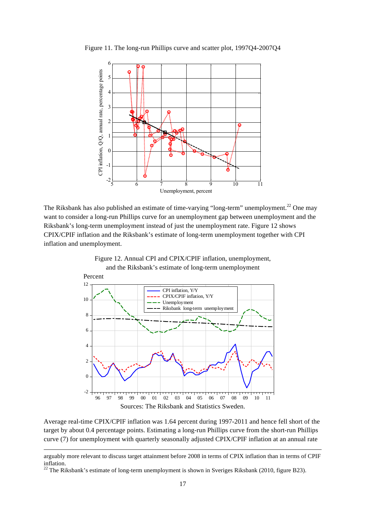

Figure 11. The long-run Phillips curve and scatter plot, 1997Q4-2007Q4

The Riksbank has also published an estimate of time-varying "long-term" unemployment.<sup>22</sup> One may want to consider a long-run Phillips curve for an unemployment gap between unemployment and the Riksbank's long-term unemployment instead of just the unemployment rate. Figure 12 shows CPIX/CPIF inflation and the Riksbank's estimate of long-term unemployment together with CPI inflation and unemployment.



Figure 12. Annual CPI and CPIX/CPIF inflation, unemployment,

Average real-time CPIX/CPIF inflation was 1.64 percent during 1997-2011 and hence fell short of the target by about 0.4 percentage points. Estimating a long-run Phillips curve from the short-run Phillips curve (7) for unemployment with quarterly seasonally adjusted CPIX/CPIF inflation at an annual rate

 $\overline{a}$ 

arguably more relevant to discuss target attainment before 2008 in terms of CPIX inflation than in terms of CPIF inflation.

<sup>&</sup>lt;sup>22</sup> The Riksbank's estimate of long-term unemployment is shown in Sveriges Riksbank (2010, figure B23).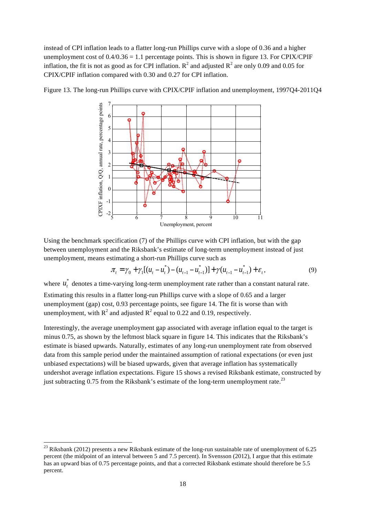instead of CPI inflation leads to a flatter long-run Phillips curve with a slope of 0.36 and a higher unemployment cost of  $0.4/0.36 = 1.1$  percentage points. This is shown in figure 13. For CPIX/CPIF inflation, the fit is not as good as for CPI inflation.  $R^2$  and adjusted  $R^2$  are only 0.09 and 0.05 for CPIX/CPIF inflation compared with 0.30 and 0.27 for CPI inflation.



Figure 13. The long-run Phillips curve with CPIX/CPIF inflation and unemployment, 1997Q4-2011Q4

Using the benchmark specification (7) of the Phillips curve with CPI inflation, but with the gap between unemployment and the Riksbank's estimate of long-term unemployment instead of just unemployment, means estimating a short-run Phillips curve such as

$$
\pi_{t} = \gamma_{0} + \gamma_{1}[(u_{t} - u_{t}^{*}) - (u_{t-1} - u_{t-1}^{*})] + \gamma (u_{t-1} - u_{t-1}^{*}) + \varepsilon_{t},
$$
\n(9)

where  $u_t^*$  denotes a time-varying long-term unemployment rate rather than a constant natural rate.

Estimating this results in a flatter long-run Phillips curve with a slope of 0.65 and a larger unemployment (gap) cost, 0.93 percentage points, see figure 14. The fit is worse than with unemployment, with  $R^2$  and adjusted  $R^2$  equal to 0.22 and 0.19, respectively.

Interestingly, the average unemployment gap associated with average inflation equal to the target is minus 0.75, as shown by the leftmost black square in figure 14. This indicates that the Riksbank's estimate is biased upwards. Naturally, estimates of any long-run unemployment rate from observed data from this sample period under the maintained assumption of rational expectations (or even just unbiased expectations) will be biased upwards, given that average inflation has systematically undershot average inflation expectations. Figure 15 shows a revised Riksbank estimate, constructed by just subtracting 0.75 from the Riksbank's estimate of the long-term unemployment rate.<sup>23</sup>

 $\overline{a}$ 

<sup>&</sup>lt;sup>23</sup> Riksbank (2012) presents a new Riksbank estimate of the long-run sustainable rate of unemployment of 6.25 percent (the midpoint of an interval between 5 and 7.5 percent). In Svensson (2012), I argue that this estimate has an upward bias of 0.75 percentage points, and that a corrected Riksbank estimate should therefore be 5.5 percent.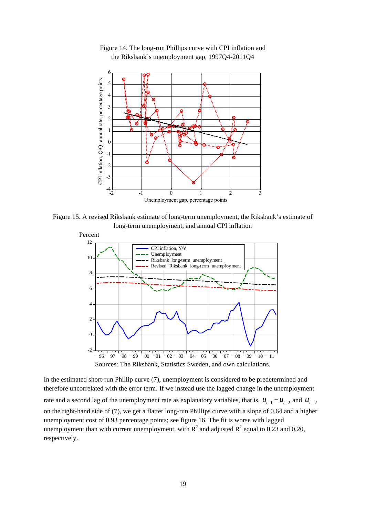

Figure 14. The long-run Phillips curve with CPI inflation and the Riksbank's unemployment gap, 1997Q4-2011Q4

Figure 15. A revised Riksbank estimate of long-term unemployment, the Riksbank's estimate of long-term unemployment, and annual CPI inflation



In the estimated short-run Phillip curve (7), unemployment is considered to be predetermined and therefore uncorrelated with the error term. If we instead use the lagged change in the unemployment rate and a second lag of the unemployment rate as explanatory variables, that is,  $u_{t-1} - u_{t-2}$  and  $u_{t-2}$ on the right-hand side of (7), we get a flatter long-run Phillips curve with a slope of 0.64 and a higher unemployment cost of 0.93 percentage points; see figure 16. The fit is worse with lagged unemployment than with current unemployment, with  $R^2$  and adjusted  $R^2$  equal to 0.23 and 0.20, respectively.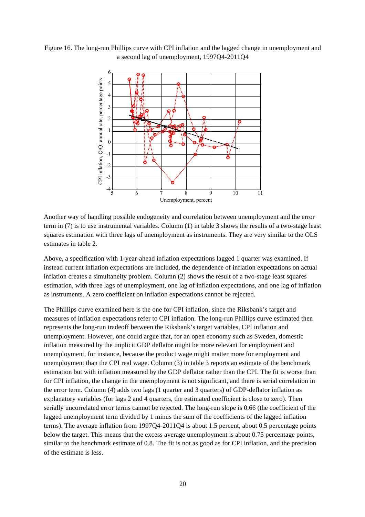



Another way of handling possible endogeneity and correlation between unemployment and the error term in (7) is to use instrumental variables. Column (1) in table 3 shows the results of a two-stage least squares estimation with three lags of unemployment as instruments. They are very similar to the OLS estimates in table 2.

Above, a specification with 1-year-ahead inflation expectations lagged 1 quarter was examined. If instead current inflation expectations are included, the dependence of inflation expectations on actual inflation creates a simultaneity problem. Column (2) shows the result of a two-stage least squares estimation, with three lags of unemployment, one lag of inflation expectations, and one lag of inflation as instruments. A zero coefficient on inflation expectations cannot be rejected.

The Phillips curve examined here is the one for CPI inflation, since the Riksbank's target and measures of inflation expectations refer to CPI inflation. The long-run Phillips curve estimated then represents the long-run tradeoff between the Riksbank's target variables, CPI inflation and unemployment. However, one could argue that, for an open economy such as Sweden, domestic inflation measured by the implicit GDP deflator might be more relevant for employment and unemployment, for instance, because the product wage might matter more for employment and unemployment than the CPI real wage. Column (3) in table 3 reports an estimate of the benchmark estimation but with inflation measured by the GDP deflator rather than the CPI. The fit is worse than for CPI inflation, the change in the unemployment is not significant, and there is serial correlation in the error term. Column (4) adds two lags (1 quarter and 3 quarters) of GDP-deflator inflation as explanatory variables (for lags 2 and 4 quarters, the estimated coefficient is close to zero). Then serially uncorrelated error terms cannot be rejected. The long-run slope is 0.66 (the coefficient of the lagged unemployment term divided by 1 minus the sum of the coefficients of the lagged inflation terms). The average inflation from 1997Q4-2011Q4 is about 1.5 percent, about 0.5 percentage points below the target. This means that the excess average unemployment is about 0.75 percentage points, similar to the benchmark estimate of 0.8. The fit is not as good as for CPI inflation, and the precision of the estimate is less.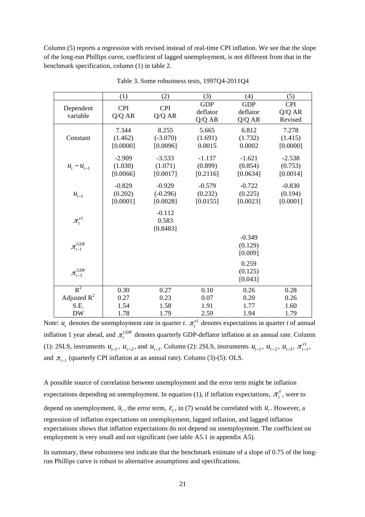Column (5) reports a regression with revised instead of real-time CPI inflation. We see that the slope of the long-run Phillips curve, coefficient of lagged unemployment, is not different from that in the benchmark specification, column (1) in table 2.

|                                          | (1)                             | (2)                                | (3)                              | (4)                              | (5)                             |
|------------------------------------------|---------------------------------|------------------------------------|----------------------------------|----------------------------------|---------------------------------|
| Dependent<br>variable                    | <b>CPI</b><br>Q/Q AR            | <b>CPI</b><br>Q/Q AR               | <b>GDP</b><br>deflator<br>Q/Q AR | <b>GDP</b><br>deflator<br>Q/Q AR | <b>CPI</b><br>Q/Q AR<br>Revised |
| Constant                                 | 7.344<br>(1.462)<br>[0.0000]    | 8.255<br>$(-3.070)$<br>[0.0096]    | 5.665<br>(1.691)<br>0.0015       | 6.812<br>(1.732)<br>0.0002       | 7.278<br>(1.415)<br>[0.0000]    |
| $u_t - u_{t-1}$                          | $-2.909$<br>(1.030)<br>[0.0066] | $-3.533$<br>(1.071)<br>[0.0017]    | $-1.137$<br>(0.899)<br>[0.2116]  | $-1.621$<br>(0.854)<br>[0.0634]  | $-2.538$<br>(0.753)<br>[0.0014] |
| $u_{t-1}$                                | $-0.829$<br>(0.202)<br>[0.0001] | $-0.929$<br>$(-0.296)$<br>[0.0028] | $-0.579$<br>(0.232)<br>[0.0155]  | $-0.722$<br>(0.225)<br>[0.0023]  | $-0.830$<br>(0.194)<br>[0.0001] |
| $\pi_{_t}^{e1}$                          |                                 | $-0.112$<br>0.583<br>[0.8483]      |                                  |                                  |                                 |
| $\pi_{\scriptscriptstyle t-1}^{\rm GDP}$ |                                 |                                    |                                  | $-0.349$<br>(0.129)<br>[0.009]   |                                 |
| GDP<br>$\pi_{t-3}$                       |                                 |                                    |                                  | 0.259<br>(0.125)<br>[0.043]      |                                 |
| $R^2$                                    | 0.30                            | 0.27                               | 0.10                             | 0.26                             | 0.28                            |
| Adjusted $R^2$                           | 0.27                            | 0.23                               | 0.07                             | 0.20                             | 0.26                            |
| S.E.                                     | 1.54                            | 1.58                               | 1.91                             | 1.77                             | 1.60                            |
| <b>DW</b>                                | 1.78                            | 1.79                               | 2.59                             | 1.94                             | 1.79                            |

Table 3. Some robustness tests, 1997Q4-2011Q4

Note:  $u_t$  denotes the unemployment rate in quarter *t*.  $\pi_t^{e_1}$  denotes expectations in quarter *t* of annual inflation 1 year ahead, and  $\pi_t^{\text{GDP}}$  denotes quarterly GDP-deflator inflation at an annual rate. Column (1): 2SLS, instruments  $u_{t-1}$ ,  $u_{t-2}$ , and  $u_{t-3}$ . Column (2): 2SLS, instruments  $u_{t-1}$ ,  $u_{t-2}$ ,  $u_{t-3}$ ,  $\pi_{t-1}^{e_1}$ , and  $\pi_{t-1}$  (quarterly CPI inflation at an annual rate). Column (3)-(5): OLS.

A possible source of correlation between unemployment and the error term might be inflation expectations depending on unemployment. In equation (1), if inflation expectations,  $\pi_i^e$ , were to depend on unemployment,  $u_t$ , the error term,  $\varepsilon_t$ , in (7) would be correlated with  $u_t$ . However, a regression of inflation expectations on unemployment, lagged inflation, and lagged inflation expectations shows that inflation expectations do not depend on unemployment. The coefficient on employment is very small and not significant (see table A5.1 in appendix A5).

In summary, these robustness test indicate that the benchmark estimate of a slope of 0.75 of the longrun Phillips curve is robust to alternative assumptions and specifications.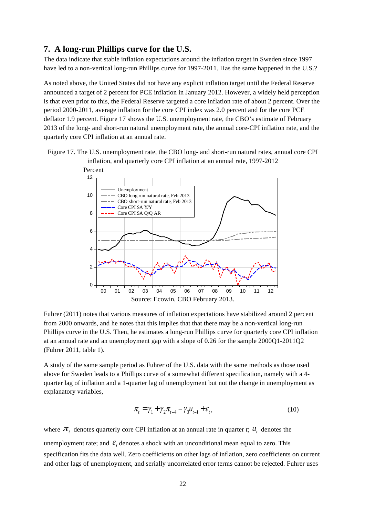## **7. A long-run Phillips curve for the U.S.**

The data indicate that stable inflation expectations around the inflation target in Sweden since 1997 have led to a non-vertical long-run Phillips curve for 1997-2011. Has the same happened in the U.S.?

As noted above, the United States did not have any explicit inflation target until the Federal Reserve announced a target of 2 percent for PCE inflation in January 2012. However, a widely held perception is that even prior to this, the Federal Reserve targeted a core inflation rate of about 2 percent. Over the period 2000-2011, average inflation for the core CPI index was 2.0 percent and for the core PCE deflator 1.9 percent. Figure 17 shows the U.S. unemployment rate, the CBO's estimate of February 2013 of the long- and short-run natural unemployment rate, the annual core-CPI inflation rate, and the quarterly core CPI inflation at an annual rate.

Figure 17. The U.S. unemployment rate, the CBO long- and short-run natural rates, annual core CPI inflation, and quarterly core CPI inflation at an annual rate, 1997-2012



Fuhrer (2011) notes that various measures of inflation expectations have stabilized around 2 percent from 2000 onwards, and he notes that this implies that that there may be a non-vertical long-run Phillips curve in the U.S. Then, he estimates a long-run Phillips curve for quarterly core CPI inflation at an annual rate and an unemployment gap with a slope of 0.26 for the sample 2000Q1-2011Q2 (Fuhrer 2011, table 1).

A study of the same sample period as Fuhrer of the U.S. data with the same methods as those used above for Sweden leads to a Phillips curve of a somewhat different specification, namely with a 4 quarter lag of inflation and a 1-quarter lag of unemployment but not the change in unemployment as explanatory variables,

$$
\pi_{t} = \gamma_{1} + \gamma_{2}\pi_{t-4} - \gamma_{3}\mu_{t-1} + \varepsilon_{t},
$$
\n(10)

where  $\pi$ <sub>t</sub> denotes quarterly core CPI inflation at an annual rate in quarter *t*;  $u_t$  denotes the unemployment rate; and  $\varepsilon$ <sub>t</sub> denotes a shock with an unconditional mean equal to zero. This specification fits the data well. Zero coefficients on other lags of inflation, zero coefficients on current and other lags of unemployment, and serially uncorrelated error terms cannot be rejected. Fuhrer uses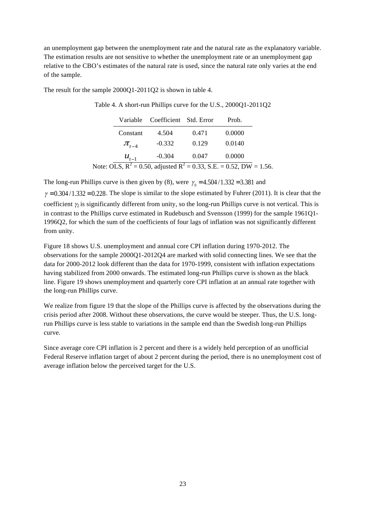an unemployment gap between the unemployment rate and the natural rate as the explanatory variable. The estimation results are not sensitive to whether the unemployment rate or an unemployment gap relative to the CBO's estimates of the natural rate is used, since the natural rate only varies at the end of the sample.

The result for the sample 2000Q1-2011Q2 is shown in table 4.

|             | Variable Coefficient Std. Error |       | Prob.                                                                     |  |
|-------------|---------------------------------|-------|---------------------------------------------------------------------------|--|
| Constant    | 4.504                           | 0.471 | 0.0000                                                                    |  |
| $\pi_{H-4}$ | $-0.332$                        | 0.129 | 0.0140                                                                    |  |
| $u_{t-1}$   | $-0.304$                        | 0.047 | 0.0000                                                                    |  |
|             |                                 |       | Note: OLS, $R^2 = 0.50$ , adjusted $R^2 = 0.33$ , S.E. = 0.52, DW = 1.56. |  |

Table 4. A short-run Phillips curve for the U.S., 2000Q1-2011Q2

The long-run Phillips curve is then given by (8), were  $\gamma_0 = 4.504 / 1.332 = 3.381$  and  $\gamma = 0.304/1.332 = 0.228$ . The slope is similar to the slope estimated by Fuhrer (2011). It is clear that the coefficient  $\gamma_2$  is significantly different from unity, so the long-run Phillips curve is not vertical. This is in contrast to the Phillips curve estimated in Rudebusch and Svensson (1999) for the sample 1961Q1- 1996Q2, for which the sum of the coefficients of four lags of inflation was not significantly different from unity.

Figure 18 shows U.S. unemployment and annual core CPI inflation during 1970-2012. The observations for the sample 2000Q1-2012Q4 are marked with solid connecting lines. We see that the data for 2000-2012 look different than the data for 1970-1999, consistent with inflation expectations having stabilized from 2000 onwards. The estimated long-run Phillips curve is shown as the black line. Figure 19 shows unemployment and quarterly core CPI inflation at an annual rate together with the long-run Phillips curve.

We realize from figure 19 that the slope of the Phillips curve is affected by the observations during the crisis period after 2008. Without these observations, the curve would be steeper. Thus, the U.S. longrun Phillips curve is less stable to variations in the sample end than the Swedish long-run Phillips curve.

Since average core CPI inflation is 2 percent and there is a widely held perception of an unofficial Federal Reserve inflation target of about 2 percent during the period, there is no unemployment cost of average inflation below the perceived target for the U.S.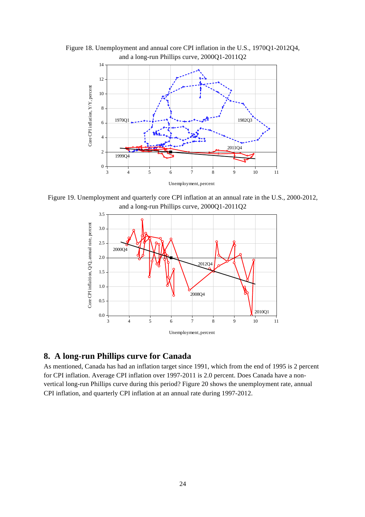

Figure 18. Unemployment and annual core CPI inflation in the U.S., 1970Q1-2012Q4, and a long-run Phillips curve, 2000Q1-2011Q2

Figure 19. Unemployment and quarterly core CPI inflation at an annual rate in the U.S., 2000-2012, and a long-run Phillips curve, 2000Q1-2011Q2



## **8. A long-run Phillips curve for Canada**

As mentioned, Canada has had an inflation target since 1991, which from the end of 1995 is 2 percent for CPI inflation. Average CPI inflation over 1997-2011 is 2.0 percent. Does Canada have a nonvertical long-run Phillips curve during this period? Figure 20 shows the unemployment rate, annual CPI inflation, and quarterly CPI inflation at an annual rate during 1997-2012.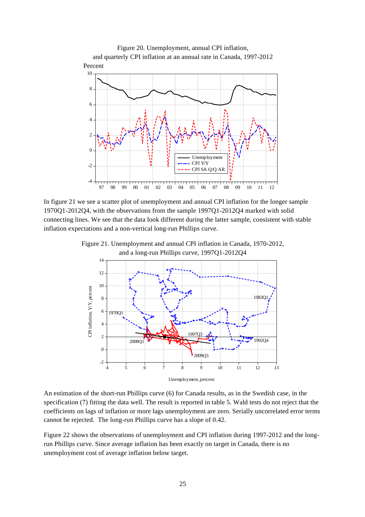

In figure 21 we see a scatter plot of unemployment and annual CPI inflation for the longer sample 1970Q1-2012Q4, with the observations from the sample 1997Q1-2012Q4 marked with solid connecting lines. We see that the data look different during the latter sample, consistent with stable inflation expectations and a non-vertical long-run Phillips curve.





An estimation of the short-run Phillips curve (6) for Canada results, as in the Swedish case, in the specification (7) fitting the data well. The result is reported in table 5. Wald tests do not reject that the coefficients on lags of inflation or more lags unemployment are zero. Serially uncorrelated error terms cannot be rejected. The long-run Phillips curve has a slope of 0.42.

Figure 22 shows the observations of unemployment and CPI inflation during 1997-2012 and the longrun Phillips curve. Since average inflation has been exactly on target in Canada, there is no unemployment cost of average inflation below target.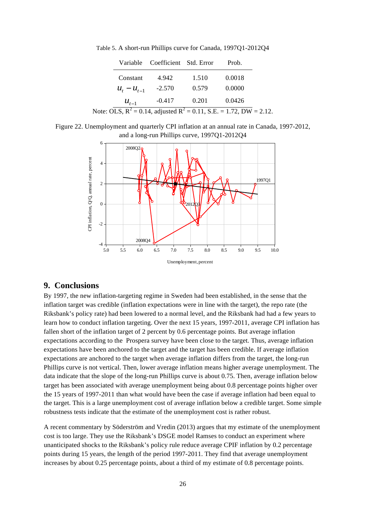|                   | Variable Coefficient Std. Error |       | Prob.                                                                     |  |
|-------------------|---------------------------------|-------|---------------------------------------------------------------------------|--|
| Constant          | 4.942                           | 1.510 | 0.0018                                                                    |  |
| $u_{t} - u_{t-1}$ | $-2.570$                        | 0.579 | 0.0000                                                                    |  |
| $u_{t-1}$         | $-0.417$                        | 0.201 | 0.0426                                                                    |  |
|                   |                                 |       | Note: OLS, $R^2 = 0.14$ , adjusted $R^2 = 0.11$ , S.E. = 1.72, DW = 2.12. |  |

Table 5. A short-run Phillips curve for Canada, 1997Q1-2012Q4

Figure 22. Unemployment and quarterly CPI inflation at an annual rate in Canada, 1997-2012, and a long-run Phillips curve, 1997Q1-2012Q4



## **9. Conclusions**

By 1997, the new inflation-targeting regime in Sweden had been established, in the sense that the inflation target was credible (inflation expectations were in line with the target), the repo rate (the Riksbank's policy rate) had been lowered to a normal level, and the Riksbank had had a few years to learn how to conduct inflation targeting. Over the next 15 years, 1997-2011, average CPI inflation has fallen short of the inflation target of 2 percent by 0.6 percentage points. But average inflation expectations according to the Prospera survey have been close to the target. Thus, average inflation expectations have been anchored to the target and the target has been credible. If average inflation expectations are anchored to the target when average inflation differs from the target, the long-run Phillips curve is not vertical. Then, lower average inflation means higher average unemployment. The data indicate that the slope of the long-run Phillips curve is about 0.75. Then, average inflation below target has been associated with average unemployment being about 0.8 percentage points higher over the 15 years of 1997-2011 than what would have been the case if average inflation had been equal to the target. This is a large unemployment cost of average inflation below a credible target. Some simple robustness tests indicate that the estimate of the unemployment cost is rather robust.

A recent commentary by Söderström and Vredin (2013) argues that my estimate of the unemployment cost is too large. They use the Riksbank's DSGE model Ramses to conduct an experiment where unanticipated shocks to the Riksbank's policy rule reduce average CPIF inflation by 0.2 percentage points during 15 years, the length of the period 1997-2011. They find that average unemployment increases by about 0.25 percentage points, about a third of my estimate of 0.8 percentage points.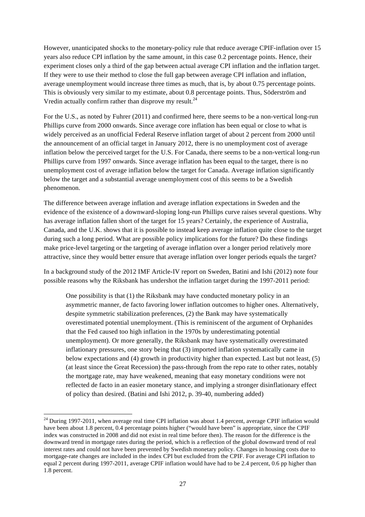However, unanticipated shocks to the monetary-policy rule that reduce average CPIF-inflation over 15 years also reduce CPI inflation by the same amount, in this case 0.2 percentage points. Hence, their experiment closes only a third of the gap between actual average CPI inflation and the inflation target. If they were to use their method to close the full gap between average CPI inflation and inflation, average unemployment would increase three times as much, that is, by about 0.75 percentage points. This is obviously very similar to my estimate, about 0.8 percentage points. Thus, Söderström and Vredin actually confirm rather than disprove my result. $^{24}$ 

For the U.S., as noted by Fuhrer (2011) and confirmed here, there seems to be a non-vertical long-run Phillips curve from 2000 onwards. Since average core inflation has been equal or close to what is widely perceived as an unofficial Federal Reserve inflation target of about 2 percent from 2000 until the announcement of an official target in January 2012, there is no unemployment cost of average inflation below the perceived target for the U.S. For Canada, there seems to be a non-vertical long-run Phillips curve from 1997 onwards. Since average inflation has been equal to the target, there is no unemployment cost of average inflation below the target for Canada. Average inflation significantly below the target and a substantial average unemployment cost of this seems to be a Swedish phenomenon.

The difference between average inflation and average inflation expectations in Sweden and the evidence of the existence of a downward-sloping long-run Phillips curve raises several questions. Why has average inflation fallen short of the target for 15 years? Certainly, the experience of Australia, Canada, and the U.K. shows that it is possible to instead keep average inflation quite close to the target during such a long period. What are possible policy implications for the future? Do these findings make price-level targeting or the targeting of average inflation over a longer period relatively more attractive, since they would better ensure that average inflation over longer periods equals the target?

In a background study of the 2012 IMF Article-IV report on Sweden, Batini and Ishi (2012) note four possible reasons why the Riksbank has undershot the inflation target during the 1997-2011 period:

One possibility is that (1) the Riksbank may have conducted monetary policy in an asymmetric manner, de facto favoring lower inflation outcomes to higher ones. Alternatively, despite symmetric stabilization preferences, (2) the Bank may have systematically overestimated potential unemployment. (This is reminiscent of the argument of Orphanides that the Fed caused too high inflation in the 1970s by underestimating potential unemployment). Or more generally, the Riksbank may have systematically overestimated inflationary pressures, one story being that (3) imported inflation systematically came in below expectations and (4) growth in productivity higher than expected. Last but not least, (5) (at least since the Great Recession) the pass-through from the repo rate to other rates, notably the mortgage rate, may have weakened, meaning that easy monetary conditions were not reflected de facto in an easier monetary stance, and implying a stronger disinflationary effect of policy than desired. (Batini and Ishi 2012, p. 39-40, numbering added)

 $\overline{a}$ 

 $24$  During 1997-2011, when average real time CPI inflation was about 1.4 percent, average CPIF inflation would have been about 1.8 percent, 0.4 percentage points higher ("would have been" is appropriate, since the CPIF index was constructed in 2008 and did not exist in real time before then). The reason for the difference is the downward trend in mortgage rates during the period, which is a reflection of the global downward trend of real interest rates and could not have been prevented by Swedish monetary policy. Changes in housing costs due to mortgage-rate changes are included in the index CPI but excluded from the CPIF. For average CPI inflation to equal 2 percent during 1997-2011, average CPIF inflation would have had to be 2.4 percent, 0.6 pp higher than 1.8 percent.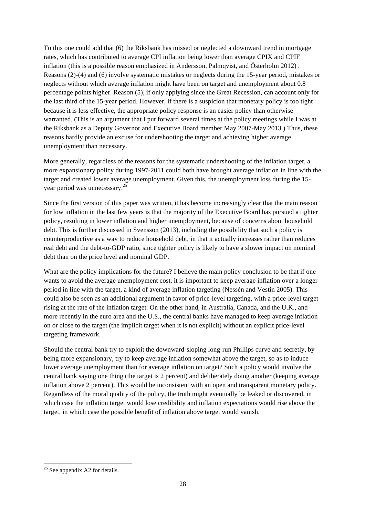To this one could add that (6) the Riksbank has missed or neglected a downward trend in mortgage rates, which has contributed to average CPI inflation being lower than average CPIX and CPIF inflation (this is a possible reason emphasized in Andersson, Palmqvist, and Österholm 2012) . Reasons (2)-(4) and (6) involve systematic mistakes or neglects during the 15-year period, mistakes or neglects without which average inflation might have been on target and unemployment about 0.8 percentage points higher. Reason (5), if only applying since the Great Recession, can account only for the last third of the 15-year period. However, if there is a suspicion that monetary policy is too tight because it is less effective, the appropriate policy response is an easier policy than otherwise warranted. (This is an argument that I put forward several times at the policy meetings while I was at the Riksbank as a Deputy Governor and Executive Board member May 2007-May 2013.) Thus, these reasons hardly provide an excuse for undershooting the target and achieving higher average unemployment than necessary.

More generally, regardless of the reasons for the systematic undershooting of the inflation target, a more expansionary policy during 1997-2011 could both have brought average inflation in line with the target and created lower average unemployment. Given this, the unemployment loss during the 15 year period was unnecessary.25

Since the first version of this paper was written, it has become increasingly clear that the main reason for low inflation in the last few years is that the majority of the Executive Board has pursued a tighter policy, resulting in lower inflation and higher unemployment, because of concerns about household debt. This is further discussed in Svensson (2013), including the possibility that such a policy is counterproductive as a way to reduce household debt, in that it actually increases rather than reduces real debt and the debt-to-GDP ratio, since tighter policy is likely to have a slower impact on nominal debt than on the price level and nominal GDP.

What are the policy implications for the future? I believe the main policy conclusion to be that if one wants to avoid the average unemployment cost, it is important to keep average inflation over a longer period in line with the target, a kind of average inflation targeting (Nessén and Vestin 2005). This could also be seen as an additional argument in favor of price-level targeting, with a price-level target rising at the rate of the inflation target. On the other hand, in Australia, Canada, and the U.K., and more recently in the euro area and the U.S., the central banks have managed to keep average inflation on or close to the target (the implicit target when it is not explicit) without an explicit price-level targeting framework.

Should the central bank try to exploit the downward-sloping long-run Phillips curve and secretly, by being more expansionary, try to keep average inflation somewhat above the target, so as to induce lower average unemployment than for average inflation on target? Such a policy would involve the central bank saying one thing (the target is 2 percent) and deliberately doing another (keeping average inflation above 2 percent). This would be inconsistent with an open and transparent monetary policy. Regardless of the moral quality of the policy, the truth might eventually be leaked or discovered, in which case the inflation target would lose credibility and inflation expectations would rise above the target, in which case the possible benefit of inflation above target would vanish.

l

 $25$  See appendix A2 for details.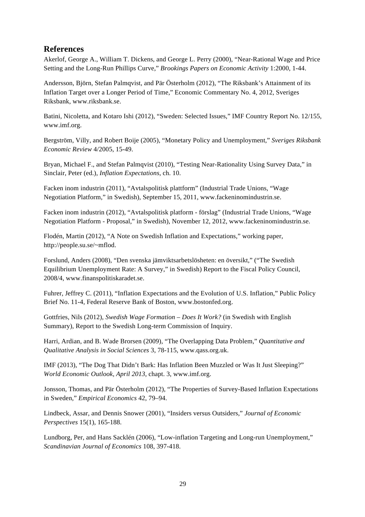# **References**

Akerlof, George A., William T. Dickens, and George L. Perry (2000), "Near-Rational Wage and Price Setting and the Long-Run Phillips Curve," *Brookings Papers on Economic Activity* 1:2000, 1-44.

Andersson, Björn, Stefan Palmqvist, and Pär Österholm (2012), "The Riksbank's Attainment of its Inflation Target over a Longer Period of Time," Economic Commentary No. 4, 2012, Sveriges Riksbank, www.riksbank.se.

Batini, Nicoletta, and Kotaro Ishi (2012), "Sweden: Selected Issues," IMF Country Report No. 12/155, www.imf.org.

Bergström, Villy, and Robert Boije (2005), "Monetary Policy and Unemployment," *Sveriges Riksbank Economic Review* 4/2005, 15-49.

Bryan, Michael F., and Stefan Palmqvist (2010), "Testing Near-Rationality Using Survey Data," in Sinclair, Peter (ed.), *Inflation Expectations*, ch. 10.

Facken inom industrin (2011), "Avtalspolitisk plattform" (Industrial Trade Unions, "Wage Negotiation Platform," in Swedish), September 15, 2011, www.fackeninomindustrin.se.

Facken inom industrin (2012), "Avtalspolitisk platform - förslag" (Industrial Trade Unions, "Wage Negotiation Platform - Proposal," in Swedish), November 12, 2012, www.fackeninomindustrin.se.

Flodén, Martin (2012), "A Note on Swedish Inflation and Expectations," working paper, http://people.su.se/~mflod.

Forslund, Anders (2008), "Den svenska jämviktsarbetslösheten: en översikt," ("The Swedish Equilibrium Unemployment Rate: A Survey," in Swedish) Report to the Fiscal Policy Council, 2008/4, www.finanspolitiskaradet.se.

Fuhrer, Jeffrey C. (2011), "Inflation Expectations and the Evolution of U.S. Inflation," Public Policy Brief No. 11-4, Federal Reserve Bank of Boston, www.bostonfed.org.

Gottfries, Nils (2012), *Swedish Wage Formation – Does It Work?* (in Swedish with English Summary), Report to the Swedish Long-term Commission of Inquiry.

Harri, Ardian, and B. Wade Brorsen (2009), "The Overlapping Data Problem," *Quantitative and Qualitative Analysis in Social Sciences* 3, 78-115, www.qass.org.uk.

IMF (2013), "The Dog That Didn't Bark: Has Inflation Been Muzzled or Was It Just Sleeping?" *World Economic Outlook, April 2013*, chapt. 3, www.imf.org.

Jonsson, Thomas, and Pär Österholm (2012), "The Properties of Survey-Based Inflation Expectations in Sweden," *Empirical Economics* 42, 79–94.

Lindbeck, Assar, and Dennis Snower (2001), "Insiders versus Outsiders," *Journal of Economic Perspectives* 15(1), 165-188.

Lundborg, Per, and Hans Sacklén (2006), "Low-inflation Targeting and Long-run Unemployment," *Scandinavian Journal of Economics* 108, 397-418.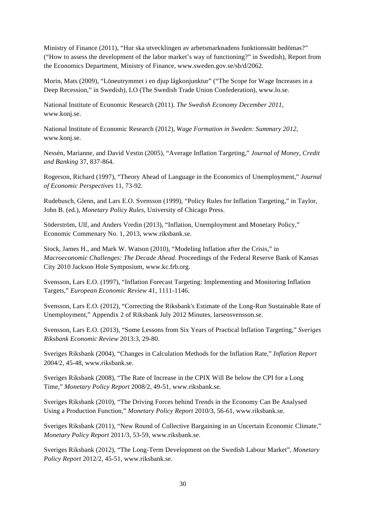Ministry of Finance (2011), "Hur ska utvecklingen av arbetsmarknadens funktionssätt bedömas?" ("How to assess the development of the labor market's way of functioning?" in Swedish), Report from the Economics Department, Ministry of Finance, www.sweden.gov.se/sb/d/2062.

Morin, Mats (2009), "Löneutrymmet i en djup lågkonjunktur" ("The Scope for Wage Increases in a Deep Recession," in Swedish), LO (The Swedish Trade Union Confederation), www.lo.se.

National Institute of Economic Research (2011). *The Swedish Economy December 2011*, www.konj.se.

National Institute of Economic Research (2012), *Wage Formation in Sweden: Summary 2012*, www.konj.se.

Nessén, Marianne, and David Vestin (2005), "Average Inflation Targeting," *Journal of Money, Credit and Banking* 37, 837-864.

Rogerson, Richard (1997), "Theory Ahead of Language in the Economics of Unemployment," *Journal of Economic Perspectives* 11, 73-92.

Rudebusch, Glenn, and Lars E.O. Svensson (1999), "Policy Rules for Inflation Targeting," in Taylor, John B. (ed.), *Monetary Policy Rules,* University of Chicago Press.

Söderström, Ulf, and Anders Vredin (2013), "Inflation, Unemployment and Monetary Policy," Economic Commenary No. 1, 2013, www.riksbank.se.

Stock, James H., and Mark W. Watson (2010), "Modeling Inflation after the Crisis," in *Macroeconomic Challenges: The Decade Ahead*. Proceedings of the Federal Reserve Bank of Kansas City 2010 Jackson Hole Symposium, www.kc.frb.org.

Svensson, Lars E.O. (1997), "Inflation Forecast Targeting: Implementing and Monitoring Inflation Targets," *European Economic Review* 41, 1111-1146.

Svensson, Lars E.O. (2012), "Correcting the Riksbank's Estimate of the Long-Run Sustainable Rate of Unemployment," Appendix 2 of Riksbank July 2012 Minutes, larseosvensson.se.

Svensson, Lars E.O. (2013), "Some Lessons from Six Years of Practical Inflation Targeting," *Sveriges Riksbank Economic Review* 2013:3, 29-80.

Sveriges Riksbank (2004), "Changes in Calculation Methods for the Inflation Rate," *Inflation Report* 2004/2, 45-48, www.riksbank.se.

Sveriges Riksbank (2008), "The Rate of Increase in the CPIX Will Be below the CPI for a Long Time," *Monetary Policy Report* 2008/2, 49-51, www.riksbank.se.

Sveriges Riksbank (2010), "The Driving Forces behind Trends in the Economy Can Be Analysed Using a Production Function," *Monetary Policy Report* 2010/3, 56-61, www.riksbank.se.

Sveriges Riksbank (2011), "New Round of Collective Bargaining in an Uncertain Economic Climate," *Monetary Policy Report* 2011/3, 53-59, www.riksbank.se.

Sveriges Riksbank (2012), "The Long-Term Development on the Swedish Labour Market", *Monetary Policy Report* 2012/2, 45-51, www.riksbank.se.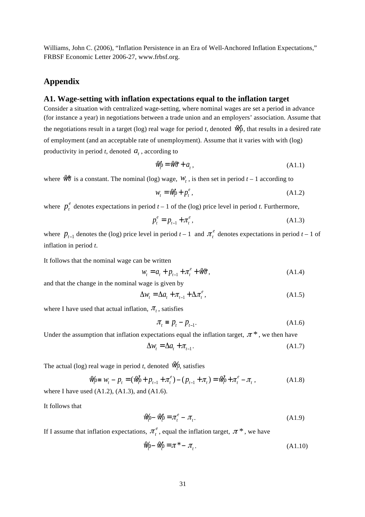Williams, John C. (2006), "Inflation Persistence in an Era of Well-Anchored Inflation Expectations," FRBSF Economic Letter 2006-27, www.frbsf.org.

## **Appendix**

### **A1. Wage-setting with inflation expectations equal to the inflation target**

Consider a situation with centralized wage-setting, where nominal wages are set a period in advance (for instance a year) in negotiations between a trade union and an employers' association. Assume that the negotiations result in a target (log) real wage for period *t*, denoted  $\hat{W}^{\dagger}_{p}$ , that results in a desired rate of employment (and an acceptable rate of unemployment). Assume that it varies with with (log) productivity in period  $t$ , denoted  $a_t$ , according to

$$
\mathcal{W}_0^{\star} = \mathcal{W}\hat{\sigma} + a_t, \qquad (A1.1)
$$

where  $W^*$  is a constant. The nominal (log) wage,  $W_t$ , is then set in period  $t-1$  according to

$$
w_t = \mathcal{W}_0^* + p_t^e, \tag{A1.2}
$$

where  $p_t^e$  denotes expectations in period  $t-1$  of the (log) price level in period *t*. Furthermore,

$$
p_t^e = p_{t-1} + \pi_t^e, \tag{A1.3}
$$

where  $p_{t-1}$  denotes the (log) price level in period  $t-1$  and  $\pi_t^e$  denotes expectations in period  $t-1$  of inflation in period *t*.

It follows that the nominal wage can be written

$$
w_t = a_t + p_{t-1} + \pi_t^e + \mathcal{W}\mathfrak{F},\tag{A1.4}
$$

and that the change in the nominal wage is given by

$$
\Delta w_t = \Delta a_t + \pi_{t-1} + \Delta \pi_t^e, \qquad (A1.5)
$$

where I have used that actual inflation,  $\pi$ , satisfies

$$
\pi_t \equiv p_t - p_{t-1}.\tag{A1.6}
$$

Under the assumption that inflation expectations equal the inflation target,  $\pi^*$ , we then have

$$
\Delta w_t = \Delta a_t + \pi_{t-1}.
$$
\n(A1.7)

The actual (log) real wage in period *t*, denoted  $\mathcal{W}_{\rho}$ , satisfies

$$
\mathcal{W}_{0} = W_{t} - p_{t} = (\mathcal{W}_{0}^{*} + p_{t-1} + \pi_{t}^{e}) - (p_{t-1} + \pi_{t}) = \mathcal{W}_{0}^{*} + \pi_{t}^{e} - \pi_{t},
$$
\n(A1.8)  
\nwhere I have used (A1.2), (A1.3), and (A1.6).

It follows that

$$
\mathcal{W}_{\rho} - \mathcal{W}_{\rho}^* = \pi_t^e - \pi_t. \tag{A1.9}
$$

If I assume that inflation expectations,  $\pi_i^e$ , equal the inflation target,  $\pi^*$ , we have

$$
\mathcal{W}_{\rho} - \mathcal{W}_{\rho}^{\star} = \pi^* - \pi_t.
$$
\n(A1.10)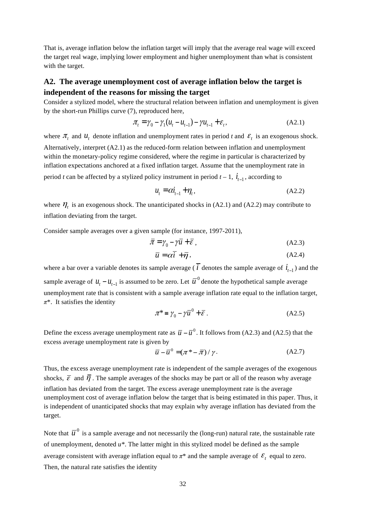That is, average inflation below the inflation target will imply that the average real wage will exceed the target real wage, implying lower employment and higher unemployment than what is consistent with the target.

## **A2. The average unemployment cost of average inflation below the target is independent of the reasons for missing the target**

Consider a stylized model, where the structural relation between inflation and unemployment is given by the short-run Phillips curve (7), reproduced here,

$$
\pi_t = \gamma_0 - \gamma_1 (u_t - u_{t-1}) - \gamma u_{t-1} + \varepsilon_t, \tag{A2.1}
$$

where  $\pi_t$  and  $\mu_t$  denote inflation and unemployment rates in period *t* and  $\epsilon_t$  is an exogenous shock. Alternatively, interpret (A2.1) as the reduced-form relation between inflation and unemployment within the monetary-policy regime considered, where the regime in particular is characterized by inflation expectations anchored at a fixed inflation target. Assume that the unemployment rate in period *t* can be affected by a stylized policy instrument in period  $t - 1$ ,  $\dot{t}_{t-1}$ , according to

$$
u_t = \alpha i_{t-1} + \eta_t, \qquad (A2.2)
$$

where  $\eta_t$  is an exogenous shock. The unanticipated shocks in (A2.1) and (A2.2) may contribute to inflation deviating from the target.

Consider sample averages over a given sample (for instance, 1997-2011),

$$
\overline{\pi} = \gamma_0 - \gamma \overline{u} + \overline{\varepsilon} \,, \tag{A2.3}
$$

$$
\overline{u} = \alpha \overline{i} + \overline{\eta}, \qquad (A2.4)
$$

where a bar over a variable denotes its sample average ( $\overline{i}$  denotes the sample average of  $i_{t-1}$ ) and the sample average of  $u_t - u_{t-1}$  is assumed to be zero. Let  $\overline{u}^0$  denote the hypothetical sample average unemployment rate that is consistent with a sample average inflation rate equal to the inflation target, *π*\*. It satisfies the identity

$$
\pi^* = \gamma_0 - \gamma \overline{u}^0 + \overline{\varepsilon} \ . \tag{A2.5}
$$

Define the excess average unemployment rate as  $\bar{u} - \bar{u}^0$ . It follows from (A2.3) and (A2.5) that the excess average unemployment rate is given by

$$
\overline{u} - \overline{u}^0 = (\pi^* - \overline{\pi}) / \gamma.
$$
 (A2.7)

Thus, the excess average unemployment rate is independent of the sample averages of the exogenous shocks,  $\bar{\varepsilon}$  and  $\bar{\eta}$ . The sample averages of the shocks may be part or all of the reason why average inflation has deviated from the target. The excess average unemployment rate is the average unemployment cost of average inflation below the target that is being estimated in this paper. Thus, it is independent of unanticipated shocks that may explain why average inflation has deviated from the target.

Note that  $\overline{u}^0$  is a sample average and not necessarily the (long-run) natural rate, the sustainable rate of unemployment, denoted *u\**. The latter might in this stylized model be defined as the sample average consistent with average inflation equal to  $\pi^*$  and the sample average of  $\mathcal{E}_t$  equal to zero. Then, the natural rate satisfies the identity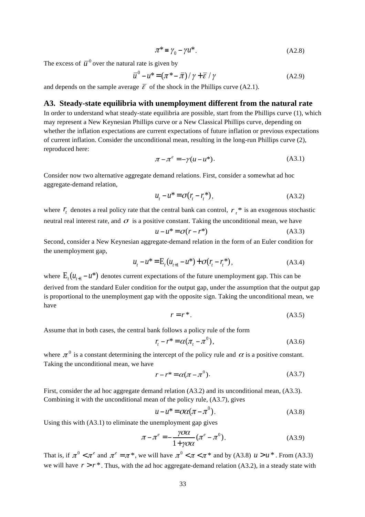$$
\pi^* = \gamma_0 - \gamma u^* \tag{A2.8}
$$

The excess of  $\overline{u}^0$  over the natural rate is given by

$$
\overline{u}^{0} - u^* = (\pi^* - \overline{\pi}) / \gamma + \overline{\varepsilon} / \gamma
$$
 (A2.9)

and depends on the sample average  $\bar{\varepsilon}$  of the shock in the Phillips curve (A2.1).

#### **A3. Steady-state equilibria with unemployment different from the natural rate**

In order to understand what steady-state equilibria are possible, start from the Phillips curve (1), which may represent a New Keynesian Phillips curve or a New Classical Phillips curve, depending on whether the inflation expectations are current expectations of future inflation or previous expectations of current inflation. Consider the unconditional mean, resulting in the long-run Phillips curve (2), reproduced here:

$$
\pi - \pi^e = -\gamma(u - u^*). \tag{A3.1}
$$

Consider now two alternative aggregate demand relations. First, consider a somewhat ad hoc aggregate-demand relation,

$$
u_t - u^* = \sigma(r_t - r_t^*), \tag{A3.2}
$$

where  $r_t$  denotes a real policy rate that the central bank can control,  $r_t^*$  is an exogenous stochastic neutral real interest rate, and  $\sigma$  is a positive constant. Taking the unconditional mean, we have

$$
u - u^* = \sigma(r - r^*)
$$
 (A3.3)

Second, consider a New Keynesian aggregate-demand relation in the form of an Euler condition for the unemployment gap,

$$
u_t - u^* = E_t(u_{t+1} - u^*) + \sigma(r_t - r_t^*),
$$
\n(A3.4)

where  $E_{i} (u_{i+1} - u^*)$  denotes current expectations of the future unemployment gap. This can be derived from the standard Euler condition for the output gap, under the assumption that the output gap is proportional to the unemployment gap with the opposite sign. Taking the unconditional mean, we have

$$
r = r^*.\tag{A3.5}
$$

Assume that in both cases, the central bank follows a policy rule of the form

$$
r_t - r^* = \alpha(\pi_t - \pi^0), \tag{A3.6}
$$

where  $\pi^0$  is a constant determining the intercept of the policy rule and  $\alpha$  is a positive constant. Taking the unconditional mean, we have

$$
r - r^* = \alpha(\pi - \pi^0). \tag{A3.7}
$$

First, consider the ad hoc aggregate demand relation (A3.2) and its unconditional mean, (A3.3). Combining it with the unconditional mean of the policy rule, (A3.7), gives

$$
u - u^* = \sigma \alpha (\pi - \pi^0). \tag{A3.8}
$$

Using this with (A3.1) to eliminate the unemployment gap gives

$$
\pi - \pi^e = -\frac{\gamma \sigma \alpha}{1 + \gamma \sigma \alpha} (\pi^e - \pi^0). \tag{A3.9}
$$

That is, if  $\pi^0 < \pi^e$  and  $\pi^e = \pi^*$ , we will have  $\pi^0 < \pi < \pi^*$  and by (A3.8)  $u > u^*$ . From (A3.3) we will have  $r > r^*$ . Thus, with the ad hoc aggregate-demand relation (A3.2), in a steady state with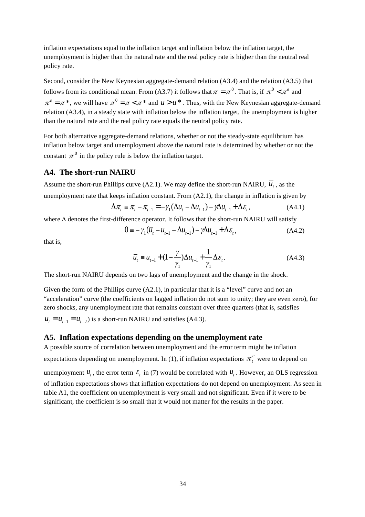inflation expectations equal to the inflation target and inflation below the inflation target, the unemployment is higher than the natural rate and the real policy rate is higher than the neutral real policy rate.

Second, consider the New Keynesian aggregate-demand relation (A3.4) and the relation (A3.5) that follows from its conditional mean. From (A3.7) it follows that  $\pi = \pi^0$ . That is, if  $\pi^0 < \pi^e$  and  $\pi^e = \pi^*$ , we will have  $\pi^0 = \pi < \pi^*$  and  $u > u^*$ . Thus, with the New Keynesian aggregate-demand relation (A3.4), in a steady state with inflation below the inflation target, the unemployment is higher than the natural rate and the real policy rate equals the neutral policy rate.

For both alternative aggregate-demand relations, whether or not the steady-state equilibrium has inflation below target and unemployment above the natural rate is determined by whether or not the constant  $\pi^0$  in the policy rule is below the inflation target.

#### **A4. The short-run NAIRU**

Assume the short-run Phillips curve (A2.1). We may define the short-run NAIRU,  $\overline{u}_t$ , as the unemployment rate that keeps inflation constant. From (A2.1), the change in inflation is given by

$$
\Delta \pi_t = \pi_t - \pi_{t-1} = -\gamma_1 (\Delta u_t - \Delta u_{t-1}) - \gamma \Delta u_{t-1} + \Delta \varepsilon_t, \tag{A4.1}
$$

where Δ denotes the first-difference operator. It follows that the short-run NAIRU will satisfy

$$
0 = -\gamma_1(\overline{u}_t - u_{t-1} - \Delta u_{t-1}) - \gamma \Delta u_{t-1} + \Delta \varepsilon_t, \tag{A4.2}
$$

that is,

$$
\overline{u}_t = u_{t-1} + (1 - \frac{\gamma}{\gamma_1})\Delta u_{t-1} + \frac{1}{\gamma_1}\Delta \varepsilon_t.
$$
\n(A4.3)

The short-run NAIRU depends on two lags of unemployment and the change in the shock.

Given the form of the Phillips curve  $(A2.1)$ , in particular that it is a "level" curve and not an "acceleration" curve (the coefficients on lagged inflation do not sum to unity; they are even zero), for zero shocks, any unemployment rate that remains constant over three quarters (that is, satisfies

 $u_t = u_{t-1} = u_{t-2}$ ) is a short-run NAIRU and satisfies (A4.3).

## **A5. Inflation expectations depending on the unemployment rate**

A possible source of correlation between unemployment and the error term might be inflation expectations depending on unemployment. In (1), if inflation expectations  $\pi_t^e$  were to depend on

unemployment  $u_t$ , the error term  $\epsilon_t$  in (7) would be correlated with  $u_t$ . However, an OLS regression of inflation expectations shows that inflation expectations do not depend on unemployment. As seen in table A1, the coefficient on unemployment is very small and not significant. Even if it were to be significant, the coefficient is so small that it would not matter for the results in the paper.